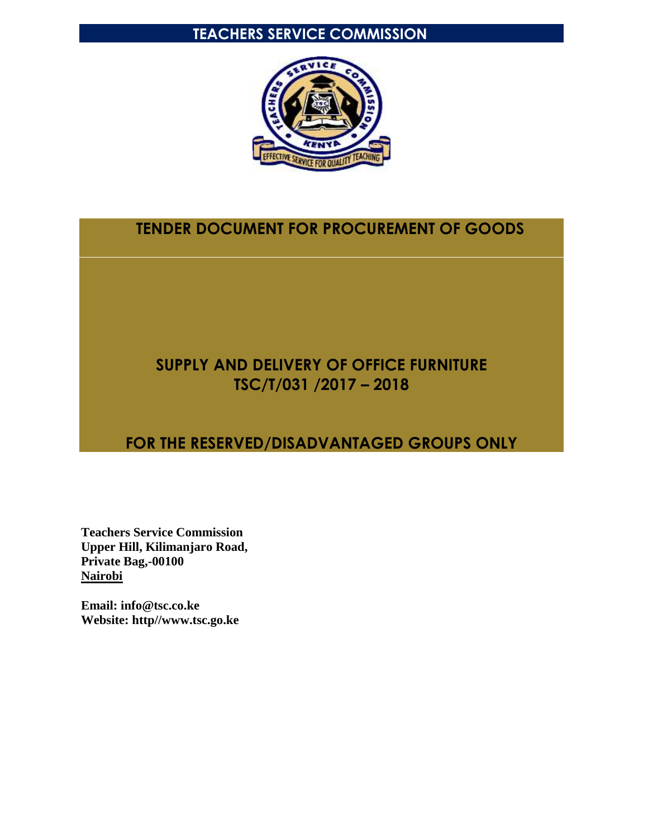# **TEACHERS SERVICE COMMISSION**



# **TENDER DOCUMENT FOR PROCUREMENT OF GOODS**

# **SUPPLY AND DELIVERY OF OFFICE FURNITURE TSC/T/031 /2017 – 2018**

# **FOR THE RESERVED/DISADVANTAGED GROUPS ONLY**

**Teachers Service Commission Upper Hill, Kilimanjaro Road, Private Bag,-00100 Nairobi**

**Email: info@tsc.co.ke Website: http//www.tsc.go.ke**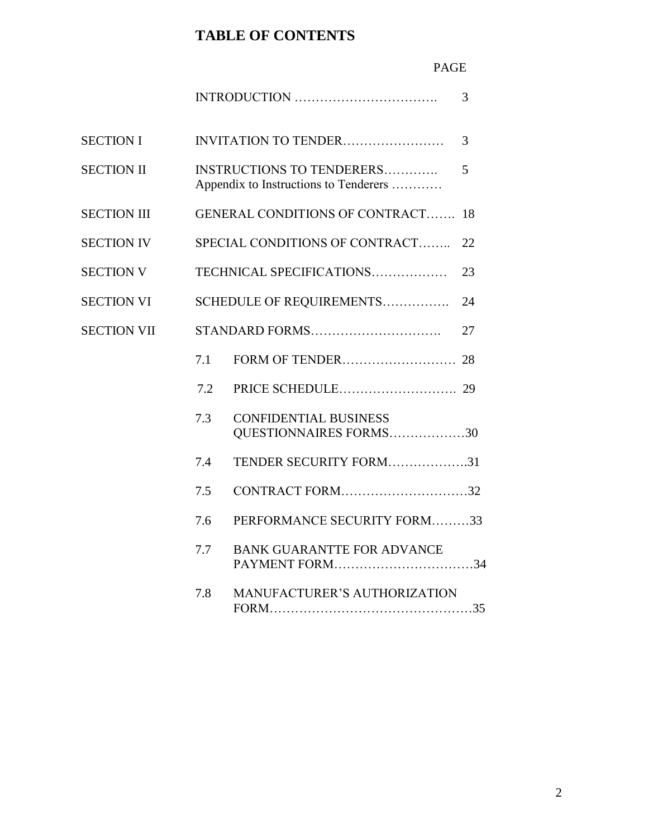# **TABLE OF CONTENTS**

# PAGE

|                    |     |                                                                    | 3  |
|--------------------|-----|--------------------------------------------------------------------|----|
| <b>SECTION I</b>   |     | INVITATION TO TENDER                                               | 3  |
| <b>SECTION II</b>  |     | INSTRUCTIONS TO TENDERERS<br>Appendix to Instructions to Tenderers | 5  |
| <b>SECTION III</b> |     | <b>GENERAL CONDITIONS OF CONTRACT</b>                              | 18 |
| <b>SECTION IV</b>  |     | SPECIAL CONDITIONS OF CONTRACT                                     | 22 |
| <b>SECTION V</b>   |     | TECHNICAL SPECIFICATIONS                                           | 23 |
| <b>SECTION VI</b>  |     | SCHEDULE OF REQUIREMENTS                                           | 24 |
| <b>SECTION VII</b> |     |                                                                    | 27 |
|                    | 7.1 |                                                                    |    |
|                    | 7.2 |                                                                    |    |
|                    | 7.3 | <b>CONFIDENTIAL BUSINESS</b><br>QUESTIONNAIRES FORMS30             |    |
|                    | 7.4 | TENDER SECURITY FORM31                                             |    |
|                    | 7.5 | CONTRACT FORM32                                                    |    |
|                    | 7.6 | PERFORMANCE SECURITY FORM33                                        |    |
|                    | 7.7 | <b>BANK GUARANTTE FOR ADVANCE</b><br>PAYMENT FORM34                |    |
|                    | 7.8 | MANUFACTURER'S AUTHORIZATION                                       |    |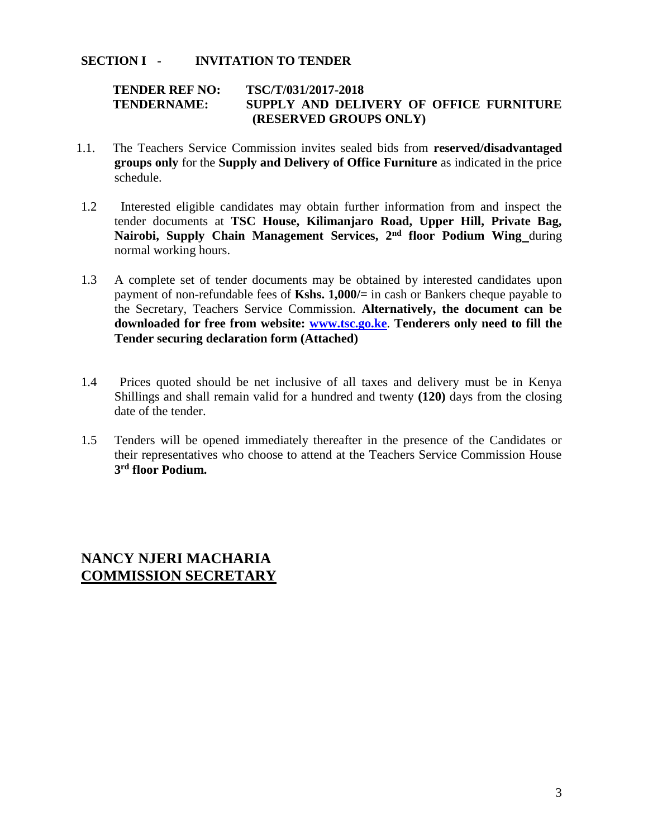#### **SECTION I - INVITATION TO TENDER**

#### **TENDER REF NO: TSC/T/031/2017-2018 TENDERNAME: SUPPLY AND DELIVERY OF OFFICE FURNITURE (RESERVED GROUPS ONLY)**

- 1.1. The Teachers Service Commission invites sealed bids from **reserved/disadvantaged groups only** for the **Supply and Delivery of Office Furniture** as indicated in the price schedule.
- 1.2 Interested eligible candidates may obtain further information from and inspect the tender documents at **TSC House, Kilimanjaro Road, Upper Hill, Private Bag, Nairobi, Supply Chain Management Services, 2nd floor Podium Wing** during normal working hours.
- 1.3 A complete set of tender documents may be obtained by interested candidates upon payment of non-refundable fees of **Kshs. 1,000/=** in cash or Bankers cheque payable to the Secretary, Teachers Service Commission. **Alternatively, the document can be downloaded for free from website: [www.tsc.go.ke](http://www.tsc.go.ke/)**. **Tenderers only need to fill the Tender securing declaration form (Attached)**
- 1.4 Prices quoted should be net inclusive of all taxes and delivery must be in Kenya Shillings and shall remain valid for a hundred and twenty **(120)** days from the closing date of the tender.
- 1.5 Tenders will be opened immediately thereafter in the presence of the Candidates or their representatives who choose to attend at the Teachers Service Commission House **3 rd floor Podium.**

# **NANCY NJERI MACHARIA COMMISSION SECRETARY**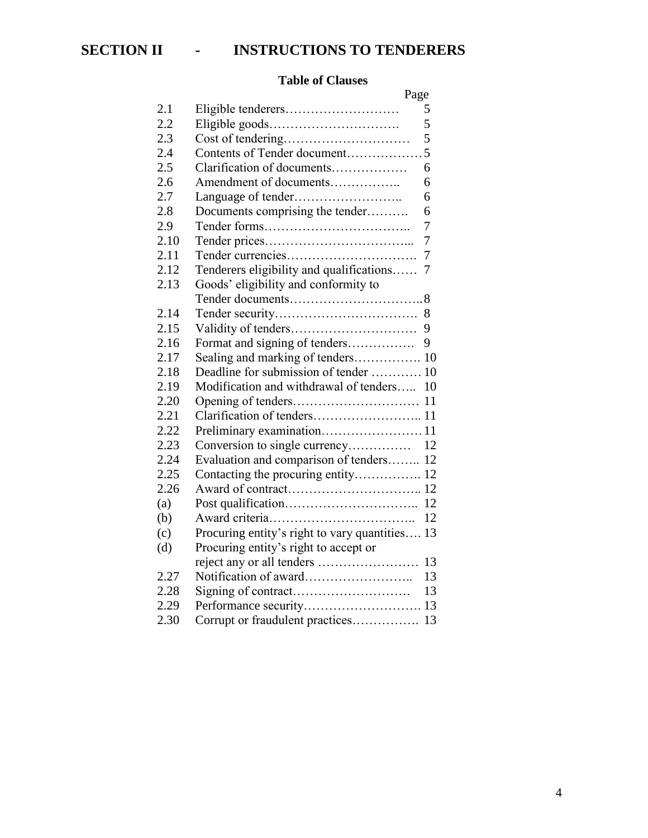#### **Table of Clauses**

|      | Page                                        |    |
|------|---------------------------------------------|----|
| 2.1  | Eligible tenderers                          | 5  |
| 2.2  |                                             | 5  |
| 2.3  |                                             | 5  |
| 2.4  | Contents of Tender document                 | 5  |
| 2.5  | Clarification of documents                  | 6  |
| 2.6  | Amendment of documents                      | 6  |
| 2.7  |                                             | 6  |
| 2.8  | Documents comprising the tender             | 6  |
| 2.9  |                                             | 7  |
| 2.10 |                                             | 7  |
| 2.11 |                                             | 7  |
| 2.12 | Tenderers eligibility and qualifications    | 7  |
| 2.13 | Goods' eligibility and conformity to        |    |
|      |                                             |    |
| 2.14 |                                             |    |
| 2.15 |                                             | 9  |
| 2.16 | Format and signing of tenders               | 9  |
| 2.17 | Sealing and marking of tenders 10           |    |
| 2.18 | Deadline for submission of tender  10       |    |
| 2.19 | Modification and withdrawal of tenders      | 10 |
| 2.20 |                                             | 11 |
| 2.21 |                                             |    |
| 2.22 |                                             |    |
| 2.23 | Conversion to single currency               | 12 |
| 2.24 | Evaluation and comparison of tenders 12     |    |
| 2.25 | Contacting the procuring entity 12          |    |
| 2.26 |                                             |    |
| (a)  |                                             | 12 |
| (b)  |                                             | 12 |
| (c)  | Procuring entity's right to vary quantities | 13 |
| (d)  | Procuring entity's right to accept or       |    |
|      |                                             | 13 |
| 2.27 |                                             | 13 |
| 2.28 |                                             | 13 |
| 2.29 |                                             | 13 |
| 2.30 | Corrupt or fraudulent practices             | 13 |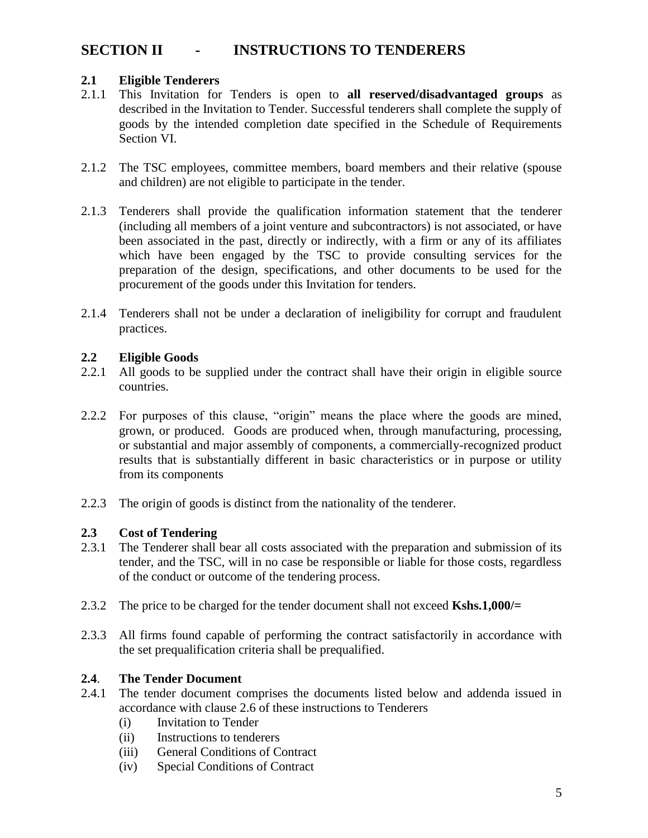# **SECTION II - INSTRUCTIONS TO TENDERERS**

#### **2.1 Eligible Tenderers**

- 2.1.1 This Invitation for Tenders is open to **all reserved/disadvantaged groups** as described in the Invitation to Tender. Successful tenderers shall complete the supply of goods by the intended completion date specified in the Schedule of Requirements Section VI.
- 2.1.2 The TSC employees, committee members, board members and their relative (spouse and children) are not eligible to participate in the tender.
- 2.1.3 Tenderers shall provide the qualification information statement that the tenderer (including all members of a joint venture and subcontractors) is not associated, or have been associated in the past, directly or indirectly, with a firm or any of its affiliates which have been engaged by the TSC to provide consulting services for the preparation of the design, specifications, and other documents to be used for the procurement of the goods under this Invitation for tenders.
- 2.1.4 Tenderers shall not be under a declaration of ineligibility for corrupt and fraudulent practices.

#### **2.2 Eligible Goods**

- 2.2.1 All goods to be supplied under the contract shall have their origin in eligible source countries.
- 2.2.2 For purposes of this clause, "origin" means the place where the goods are mined, grown, or produced. Goods are produced when, through manufacturing, processing, or substantial and major assembly of components, a commercially-recognized product results that is substantially different in basic characteristics or in purpose or utility from its components
- 2.2.3 The origin of goods is distinct from the nationality of the tenderer.

#### **2.3 Cost of Tendering**

- 2.3.1 The Tenderer shall bear all costs associated with the preparation and submission of its tender, and the TSC, will in no case be responsible or liable for those costs, regardless of the conduct or outcome of the tendering process.
- 2.3.2 The price to be charged for the tender document shall not exceed **Kshs.1,000/=**
- 2.3.3 All firms found capable of performing the contract satisfactorily in accordance with the set prequalification criteria shall be prequalified.

#### **2.4**. **The Tender Document**

- 2.4.1 The tender document comprises the documents listed below and addenda issued in accordance with clause 2.6 of these instructions to Tenderers
	- (i) Invitation to Tender
	- (ii) Instructions to tenderers
	- (iii) General Conditions of Contract
	- (iv) Special Conditions of Contract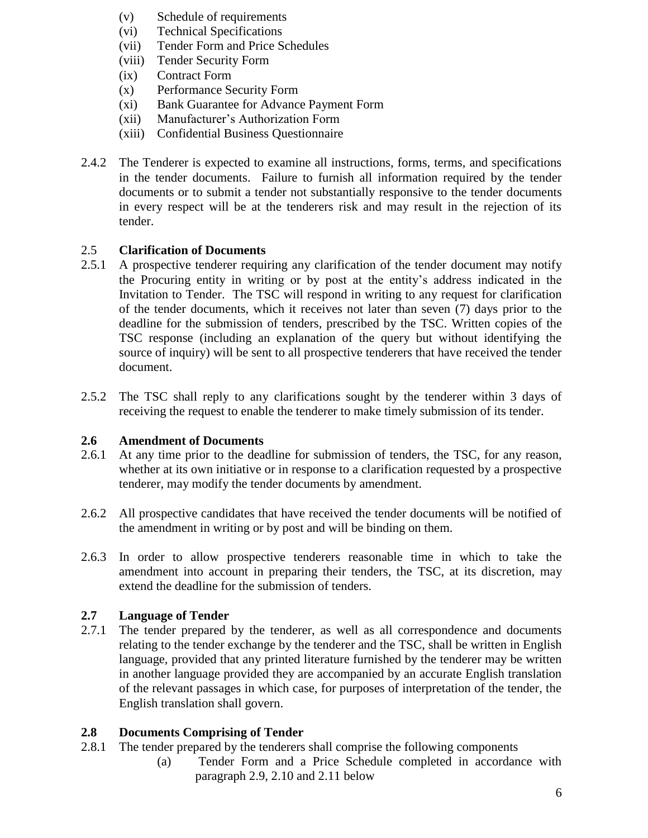- (v) Schedule of requirements
- (vi) Technical Specifications
- (vii) Tender Form and Price Schedules
- (viii) Tender Security Form
- (ix) Contract Form
- (x) Performance Security Form
- (xi) Bank Guarantee for Advance Payment Form
- (xii) Manufacturer's Authorization Form
- (xiii) Confidential Business Questionnaire
- 2.4.2 The Tenderer is expected to examine all instructions, forms, terms, and specifications in the tender documents. Failure to furnish all information required by the tender documents or to submit a tender not substantially responsive to the tender documents in every respect will be at the tenderers risk and may result in the rejection of its tender.

## 2.5 **Clarification of Documents**

- 2.5.1 A prospective tenderer requiring any clarification of the tender document may notify the Procuring entity in writing or by post at the entity's address indicated in the Invitation to Tender. The TSC will respond in writing to any request for clarification of the tender documents, which it receives not later than seven (7) days prior to the deadline for the submission of tenders, prescribed by the TSC. Written copies of the TSC response (including an explanation of the query but without identifying the source of inquiry) will be sent to all prospective tenderers that have received the tender document.
- 2.5.2 The TSC shall reply to any clarifications sought by the tenderer within 3 days of receiving the request to enable the tenderer to make timely submission of its tender.

#### **2.6 Amendment of Documents**

- 2.6.1 At any time prior to the deadline for submission of tenders, the TSC, for any reason, whether at its own initiative or in response to a clarification requested by a prospective tenderer, may modify the tender documents by amendment.
- 2.6.2 All prospective candidates that have received the tender documents will be notified of the amendment in writing or by post and will be binding on them.
- 2.6.3 In order to allow prospective tenderers reasonable time in which to take the amendment into account in preparing their tenders, the TSC, at its discretion, may extend the deadline for the submission of tenders.

#### **2.7 Language of Tender**

2.7.1 The tender prepared by the tenderer, as well as all correspondence and documents relating to the tender exchange by the tenderer and the TSC, shall be written in English language, provided that any printed literature furnished by the tenderer may be written in another language provided they are accompanied by an accurate English translation of the relevant passages in which case, for purposes of interpretation of the tender, the English translation shall govern.

# **2.8 Documents Comprising of Tender**

- 2.8.1 The tender prepared by the tenderers shall comprise the following components
	- (a) Tender Form and a Price Schedule completed in accordance with paragraph 2.9, 2.10 and 2.11 below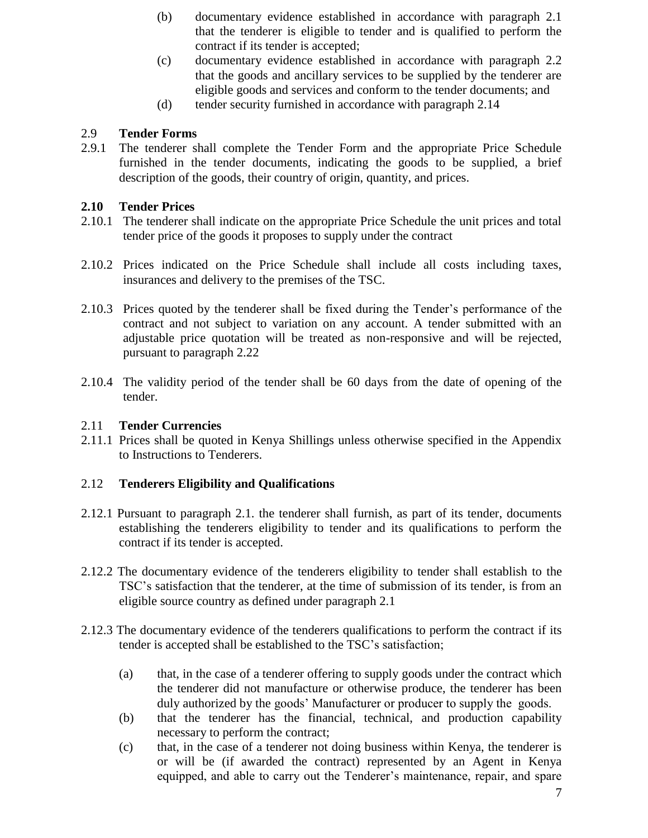- (b) documentary evidence established in accordance with paragraph 2.1 that the tenderer is eligible to tender and is qualified to perform the contract if its tender is accepted;
- (c) documentary evidence established in accordance with paragraph 2.2 that the goods and ancillary services to be supplied by the tenderer are eligible goods and services and conform to the tender documents; and
- (d) tender security furnished in accordance with paragraph 2.14

## 2.9 **Tender Forms**

2.9.1 The tenderer shall complete the Tender Form and the appropriate Price Schedule furnished in the tender documents, indicating the goods to be supplied, a brief description of the goods, their country of origin, quantity, and prices.

## **2.10 Tender Prices**

- 2.10.1 The tenderer shall indicate on the appropriate Price Schedule the unit prices and total tender price of the goods it proposes to supply under the contract
- 2.10.2 Prices indicated on the Price Schedule shall include all costs including taxes, insurances and delivery to the premises of the TSC.
- 2.10.3 Prices quoted by the tenderer shall be fixed during the Tender's performance of the contract and not subject to variation on any account. A tender submitted with an adjustable price quotation will be treated as non-responsive and will be rejected, pursuant to paragraph 2.22
- 2.10.4 The validity period of the tender shall be 60 days from the date of opening of the tender.

#### 2.11 **Tender Currencies**

2.11.1 Prices shall be quoted in Kenya Shillings unless otherwise specified in the Appendix to Instructions to Tenderers.

# 2.12 **Tenderers Eligibility and Qualifications**

- 2.12.1 Pursuant to paragraph 2.1. the tenderer shall furnish, as part of its tender, documents establishing the tenderers eligibility to tender and its qualifications to perform the contract if its tender is accepted.
- 2.12.2 The documentary evidence of the tenderers eligibility to tender shall establish to the TSC's satisfaction that the tenderer, at the time of submission of its tender, is from an eligible source country as defined under paragraph 2.1
- 2.12.3 The documentary evidence of the tenderers qualifications to perform the contract if its tender is accepted shall be established to the TSC's satisfaction;
	- (a) that, in the case of a tenderer offering to supply goods under the contract which the tenderer did not manufacture or otherwise produce, the tenderer has been duly authorized by the goods' Manufacturer or producer to supply the goods.
	- (b) that the tenderer has the financial, technical, and production capability necessary to perform the contract;
	- (c) that, in the case of a tenderer not doing business within Kenya, the tenderer is or will be (if awarded the contract) represented by an Agent in Kenya equipped, and able to carry out the Tenderer's maintenance, repair, and spare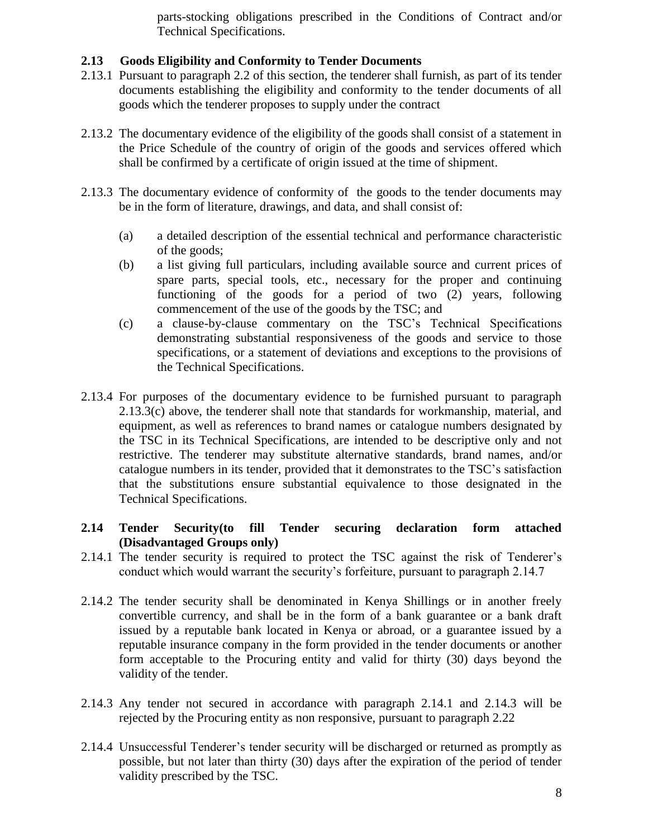parts-stocking obligations prescribed in the Conditions of Contract and/or Technical Specifications.

#### **2.13 Goods Eligibility and Conformity to Tender Documents**

- 2.13.1 Pursuant to paragraph 2.2 of this section, the tenderer shall furnish, as part of its tender documents establishing the eligibility and conformity to the tender documents of all goods which the tenderer proposes to supply under the contract
- 2.13.2 The documentary evidence of the eligibility of the goods shall consist of a statement in the Price Schedule of the country of origin of the goods and services offered which shall be confirmed by a certificate of origin issued at the time of shipment.
- 2.13.3 The documentary evidence of conformity of the goods to the tender documents may be in the form of literature, drawings, and data, and shall consist of:
	- (a) a detailed description of the essential technical and performance characteristic of the goods;
	- (b) a list giving full particulars, including available source and current prices of spare parts, special tools, etc., necessary for the proper and continuing functioning of the goods for a period of two (2) years, following commencement of the use of the goods by the TSC; and
	- (c) a clause-by-clause commentary on the TSC's Technical Specifications demonstrating substantial responsiveness of the goods and service to those specifications, or a statement of deviations and exceptions to the provisions of the Technical Specifications.
- 2.13.4 For purposes of the documentary evidence to be furnished pursuant to paragraph 2.13.3(c) above, the tenderer shall note that standards for workmanship, material, and equipment, as well as references to brand names or catalogue numbers designated by the TSC in its Technical Specifications, are intended to be descriptive only and not restrictive. The tenderer may substitute alternative standards, brand names, and/or catalogue numbers in its tender, provided that it demonstrates to the TSC's satisfaction that the substitutions ensure substantial equivalence to those designated in the Technical Specifications.

#### **2.14 Tender Security(to fill Tender securing declaration form attached (Disadvantaged Groups only)**

- 2.14.1 The tender security is required to protect the TSC against the risk of Tenderer's conduct which would warrant the security's forfeiture, pursuant to paragraph 2.14.7
- 2.14.2 The tender security shall be denominated in Kenya Shillings or in another freely convertible currency, and shall be in the form of a bank guarantee or a bank draft issued by a reputable bank located in Kenya or abroad, or a guarantee issued by a reputable insurance company in the form provided in the tender documents or another form acceptable to the Procuring entity and valid for thirty (30) days beyond the validity of the tender.
- 2.14.3 Any tender not secured in accordance with paragraph 2.14.1 and 2.14.3 will be rejected by the Procuring entity as non responsive, pursuant to paragraph 2.22
- 2.14.4 Unsuccessful Tenderer's tender security will be discharged or returned as promptly as possible, but not later than thirty (30) days after the expiration of the period of tender validity prescribed by the TSC.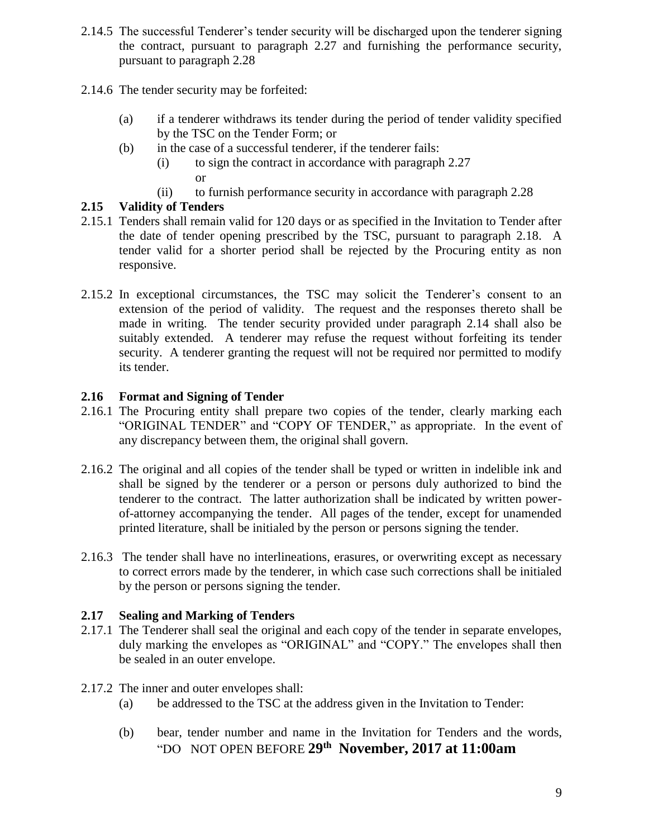- 2.14.5 The successful Tenderer's tender security will be discharged upon the tenderer signing the contract, pursuant to paragraph 2.27 and furnishing the performance security, pursuant to paragraph 2.28
- 2.14.6 The tender security may be forfeited:
	- (a) if a tenderer withdraws its tender during the period of tender validity specified by the TSC on the Tender Form; or
	- (b) in the case of a successful tenderer, if the tenderer fails:
		- (i) to sign the contract in accordance with paragraph 2.27 or
		- (ii) to furnish performance security in accordance with paragraph 2.28

# **2.15 Validity of Tenders**

- 2.15.1 Tenders shall remain valid for 120 days or as specified in the Invitation to Tender after the date of tender opening prescribed by the TSC, pursuant to paragraph 2.18. A tender valid for a shorter period shall be rejected by the Procuring entity as non responsive.
- 2.15.2 In exceptional circumstances, the TSC may solicit the Tenderer's consent to an extension of the period of validity. The request and the responses thereto shall be made in writing. The tender security provided under paragraph 2.14 shall also be suitably extended. A tenderer may refuse the request without forfeiting its tender security. A tenderer granting the request will not be required nor permitted to modify its tender.

## **2.16 Format and Signing of Tender**

- 2.16.1 The Procuring entity shall prepare two copies of the tender, clearly marking each "ORIGINAL TENDER" and "COPY OF TENDER," as appropriate. In the event of any discrepancy between them, the original shall govern.
- 2.16.2 The original and all copies of the tender shall be typed or written in indelible ink and shall be signed by the tenderer or a person or persons duly authorized to bind the tenderer to the contract. The latter authorization shall be indicated by written powerof-attorney accompanying the tender. All pages of the tender, except for unamended printed literature, shall be initialed by the person or persons signing the tender.
- 2.16.3 The tender shall have no interlineations, erasures, or overwriting except as necessary to correct errors made by the tenderer, in which case such corrections shall be initialed by the person or persons signing the tender.

#### **2.17 Sealing and Marking of Tenders**

- 2.17.1 The Tenderer shall seal the original and each copy of the tender in separate envelopes, duly marking the envelopes as "ORIGINAL" and "COPY." The envelopes shall then be sealed in an outer envelope.
- 2.17.2 The inner and outer envelopes shall:
	- (a) be addressed to the TSC at the address given in the Invitation to Tender:
	- (b) bear, tender number and name in the Invitation for Tenders and the words, "DO NOT OPEN BEFORE **29 th November, 2017 at 11:00am**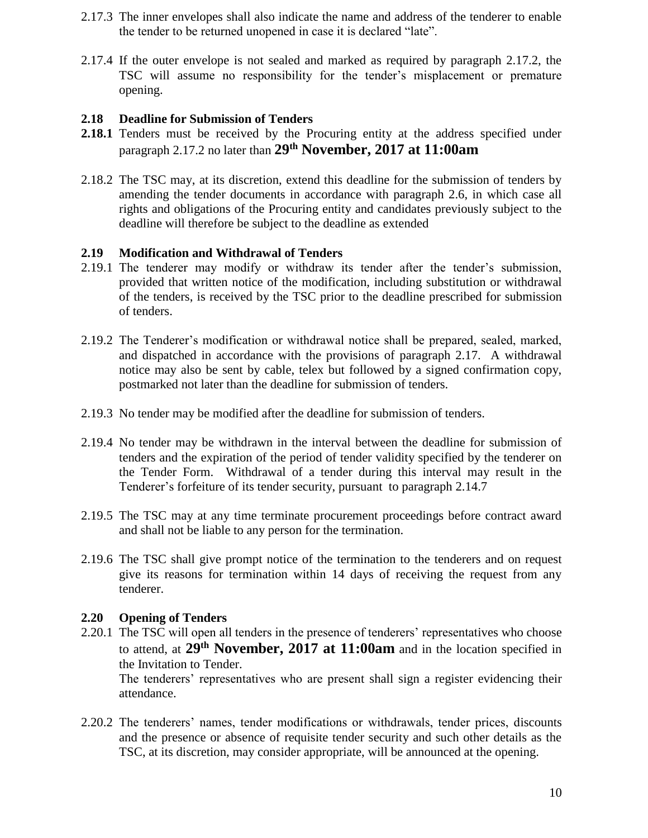- 2.17.3 The inner envelopes shall also indicate the name and address of the tenderer to enable the tender to be returned unopened in case it is declared "late".
- 2.17.4 If the outer envelope is not sealed and marked as required by paragraph 2.17.2, the TSC will assume no responsibility for the tender's misplacement or premature opening.

#### **2.18 Deadline for Submission of Tenders**

- **2.18.1** Tenders must be received by the Procuring entity at the address specified under paragraph 2.17.2 no later than **29 th November, 2017 at 11:00am**
- 2.18.2 The TSC may, at its discretion, extend this deadline for the submission of tenders by amending the tender documents in accordance with paragraph 2.6, in which case all rights and obligations of the Procuring entity and candidates previously subject to the deadline will therefore be subject to the deadline as extended

#### **2.19 Modification and Withdrawal of Tenders**

- 2.19.1 The tenderer may modify or withdraw its tender after the tender's submission, provided that written notice of the modification, including substitution or withdrawal of the tenders, is received by the TSC prior to the deadline prescribed for submission of tenders.
- 2.19.2 The Tenderer's modification or withdrawal notice shall be prepared, sealed, marked, and dispatched in accordance with the provisions of paragraph 2.17. A withdrawal notice may also be sent by cable, telex but followed by a signed confirmation copy, postmarked not later than the deadline for submission of tenders.
- 2.19.3 No tender may be modified after the deadline for submission of tenders.
- 2.19.4 No tender may be withdrawn in the interval between the deadline for submission of tenders and the expiration of the period of tender validity specified by the tenderer on the Tender Form. Withdrawal of a tender during this interval may result in the Tenderer's forfeiture of its tender security, pursuant to paragraph 2.14.7
- 2.19.5 The TSC may at any time terminate procurement proceedings before contract award and shall not be liable to any person for the termination.
- 2.19.6 The TSC shall give prompt notice of the termination to the tenderers and on request give its reasons for termination within 14 days of receiving the request from any tenderer.

#### **2.20 Opening of Tenders**

- 2.20.1 The TSC will open all tenders in the presence of tenderers' representatives who choose to attend, at **29 th November, 2017 at 11:00am** and in the location specified in the Invitation to Tender. The tenderers' representatives who are present shall sign a register evidencing their attendance.
- 2.20.2 The tenderers' names, tender modifications or withdrawals, tender prices, discounts and the presence or absence of requisite tender security and such other details as the TSC, at its discretion, may consider appropriate, will be announced at the opening.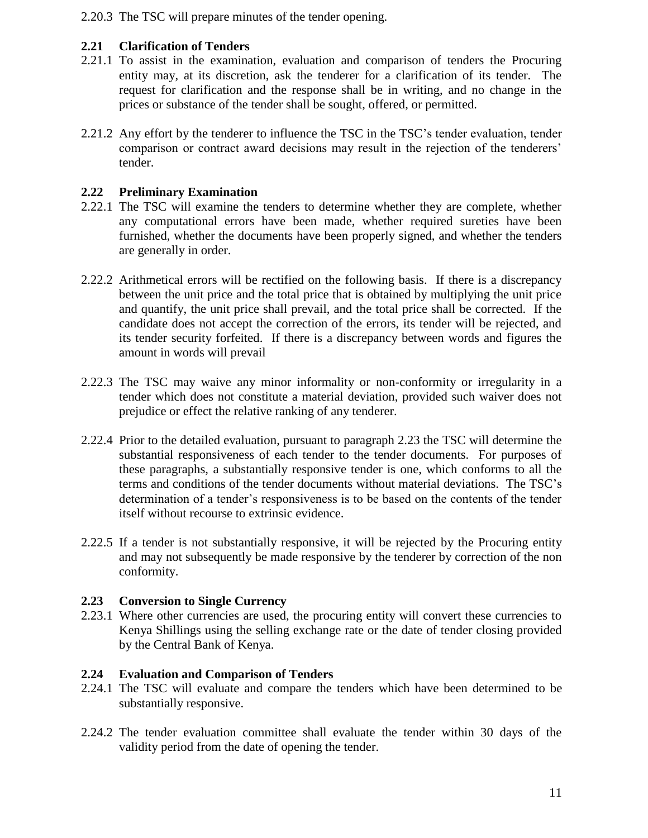2.20.3 The TSC will prepare minutes of the tender opening.

## **2.21 Clarification of Tenders**

- 2.21.1 To assist in the examination, evaluation and comparison of tenders the Procuring entity may, at its discretion, ask the tenderer for a clarification of its tender. The request for clarification and the response shall be in writing, and no change in the prices or substance of the tender shall be sought, offered, or permitted.
- 2.21.2 Any effort by the tenderer to influence the TSC in the TSC's tender evaluation, tender comparison or contract award decisions may result in the rejection of the tenderers' tender.

#### **2.22 Preliminary Examination**

- 2.22.1 The TSC will examine the tenders to determine whether they are complete, whether any computational errors have been made, whether required sureties have been furnished, whether the documents have been properly signed, and whether the tenders are generally in order.
- 2.22.2 Arithmetical errors will be rectified on the following basis. If there is a discrepancy between the unit price and the total price that is obtained by multiplying the unit price and quantify, the unit price shall prevail, and the total price shall be corrected. If the candidate does not accept the correction of the errors, its tender will be rejected, and its tender security forfeited. If there is a discrepancy between words and figures the amount in words will prevail
- 2.22.3 The TSC may waive any minor informality or non-conformity or irregularity in a tender which does not constitute a material deviation, provided such waiver does not prejudice or effect the relative ranking of any tenderer.
- 2.22.4 Prior to the detailed evaluation, pursuant to paragraph 2.23 the TSC will determine the substantial responsiveness of each tender to the tender documents. For purposes of these paragraphs, a substantially responsive tender is one, which conforms to all the terms and conditions of the tender documents without material deviations. The TSC's determination of a tender's responsiveness is to be based on the contents of the tender itself without recourse to extrinsic evidence.
- 2.22.5 If a tender is not substantially responsive, it will be rejected by the Procuring entity and may not subsequently be made responsive by the tenderer by correction of the non conformity.

#### **2.23 Conversion to Single Currency**

2.23.1 Where other currencies are used, the procuring entity will convert these currencies to Kenya Shillings using the selling exchange rate or the date of tender closing provided by the Central Bank of Kenya.

#### **2.24 Evaluation and Comparison of Tenders**

- 2.24.1 The TSC will evaluate and compare the tenders which have been determined to be substantially responsive.
- 2.24.2 The tender evaluation committee shall evaluate the tender within 30 days of the validity period from the date of opening the tender.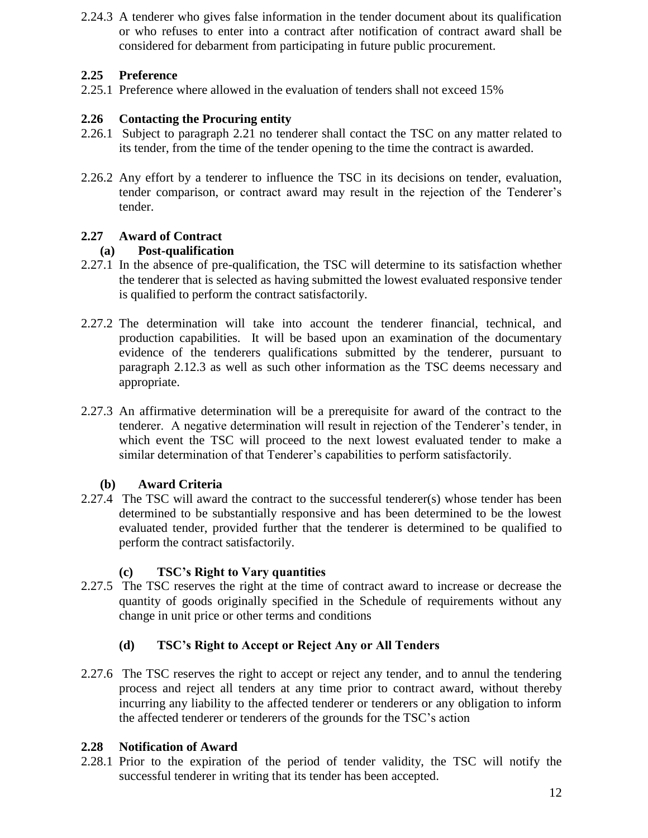2.24.3 A tenderer who gives false information in the tender document about its qualification or who refuses to enter into a contract after notification of contract award shall be considered for debarment from participating in future public procurement.

## **2.25 Preference**

2.25.1 Preference where allowed in the evaluation of tenders shall not exceed 15%

# **2.26 Contacting the Procuring entity**

- 2.26.1 Subject to paragraph 2.21 no tenderer shall contact the TSC on any matter related to its tender, from the time of the tender opening to the time the contract is awarded.
- 2.26.2 Any effort by a tenderer to influence the TSC in its decisions on tender, evaluation, tender comparison, or contract award may result in the rejection of the Tenderer's tender.

## **2.27 Award of Contract**

#### **(a) Post-qualification**

- 2.27.1 In the absence of pre-qualification, the TSC will determine to its satisfaction whether the tenderer that is selected as having submitted the lowest evaluated responsive tender is qualified to perform the contract satisfactorily.
- 2.27.2 The determination will take into account the tenderer financial, technical, and production capabilities. It will be based upon an examination of the documentary evidence of the tenderers qualifications submitted by the tenderer, pursuant to paragraph 2.12.3 as well as such other information as the TSC deems necessary and appropriate.
- 2.27.3 An affirmative determination will be a prerequisite for award of the contract to the tenderer. A negative determination will result in rejection of the Tenderer's tender, in which event the TSC will proceed to the next lowest evaluated tender to make a similar determination of that Tenderer's capabilities to perform satisfactorily.

#### **(b) Award Criteria**

2.27.4 The TSC will award the contract to the successful tenderer(s) whose tender has been determined to be substantially responsive and has been determined to be the lowest evaluated tender, provided further that the tenderer is determined to be qualified to perform the contract satisfactorily.

#### **(c) TSC's Right to Vary quantities**

2.27.5 The TSC reserves the right at the time of contract award to increase or decrease the quantity of goods originally specified in the Schedule of requirements without any change in unit price or other terms and conditions

# **(d) TSC's Right to Accept or Reject Any or All Tenders**

2.27.6 The TSC reserves the right to accept or reject any tender, and to annul the tendering process and reject all tenders at any time prior to contract award, without thereby incurring any liability to the affected tenderer or tenderers or any obligation to inform the affected tenderer or tenderers of the grounds for the TSC's action

#### **2.28 Notification of Award**

2.28.1 Prior to the expiration of the period of tender validity, the TSC will notify the successful tenderer in writing that its tender has been accepted.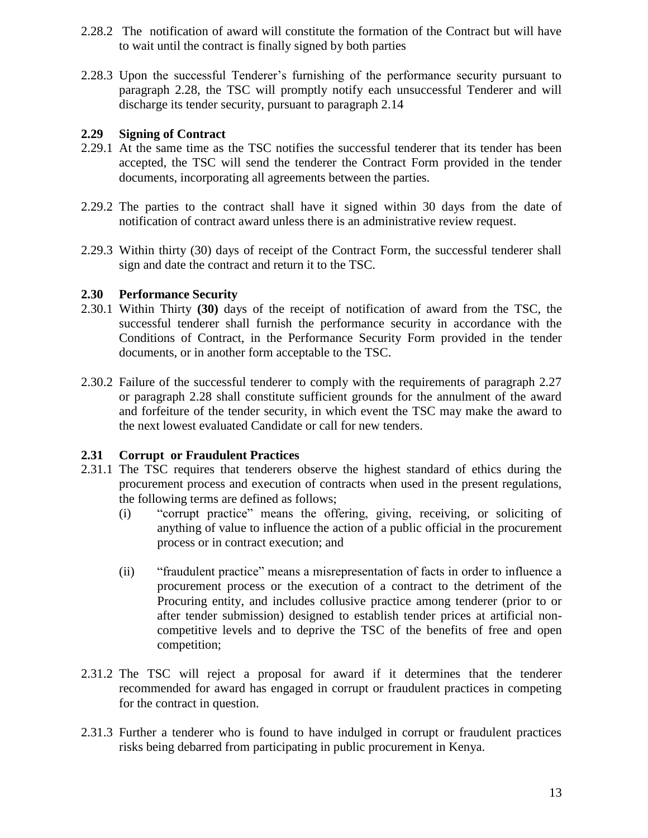- 2.28.2 The notification of award will constitute the formation of the Contract but will have to wait until the contract is finally signed by both parties
- 2.28.3 Upon the successful Tenderer's furnishing of the performance security pursuant to paragraph 2.28, the TSC will promptly notify each unsuccessful Tenderer and will discharge its tender security, pursuant to paragraph 2.14

#### **2.29 Signing of Contract**

- 2.29.1 At the same time as the TSC notifies the successful tenderer that its tender has been accepted, the TSC will send the tenderer the Contract Form provided in the tender documents, incorporating all agreements between the parties.
- 2.29.2 The parties to the contract shall have it signed within 30 days from the date of notification of contract award unless there is an administrative review request.
- 2.29.3 Within thirty (30) days of receipt of the Contract Form, the successful tenderer shall sign and date the contract and return it to the TSC.

#### **2.30 Performance Security**

- 2.30.1 Within Thirty **(30)** days of the receipt of notification of award from the TSC, the successful tenderer shall furnish the performance security in accordance with the Conditions of Contract, in the Performance Security Form provided in the tender documents, or in another form acceptable to the TSC.
- 2.30.2 Failure of the successful tenderer to comply with the requirements of paragraph 2.27 or paragraph 2.28 shall constitute sufficient grounds for the annulment of the award and forfeiture of the tender security, in which event the TSC may make the award to the next lowest evaluated Candidate or call for new tenders.

### **2.31 Corrupt or Fraudulent Practices**

- 2.31.1 The TSC requires that tenderers observe the highest standard of ethics during the procurement process and execution of contracts when used in the present regulations, the following terms are defined as follows;
	- (i) "corrupt practice" means the offering, giving, receiving, or soliciting of anything of value to influence the action of a public official in the procurement process or in contract execution; and
	- (ii) "fraudulent practice" means a misrepresentation of facts in order to influence a procurement process or the execution of a contract to the detriment of the Procuring entity, and includes collusive practice among tenderer (prior to or after tender submission) designed to establish tender prices at artificial noncompetitive levels and to deprive the TSC of the benefits of free and open competition;
- 2.31.2 The TSC will reject a proposal for award if it determines that the tenderer recommended for award has engaged in corrupt or fraudulent practices in competing for the contract in question.
- 2.31.3 Further a tenderer who is found to have indulged in corrupt or fraudulent practices risks being debarred from participating in public procurement in Kenya.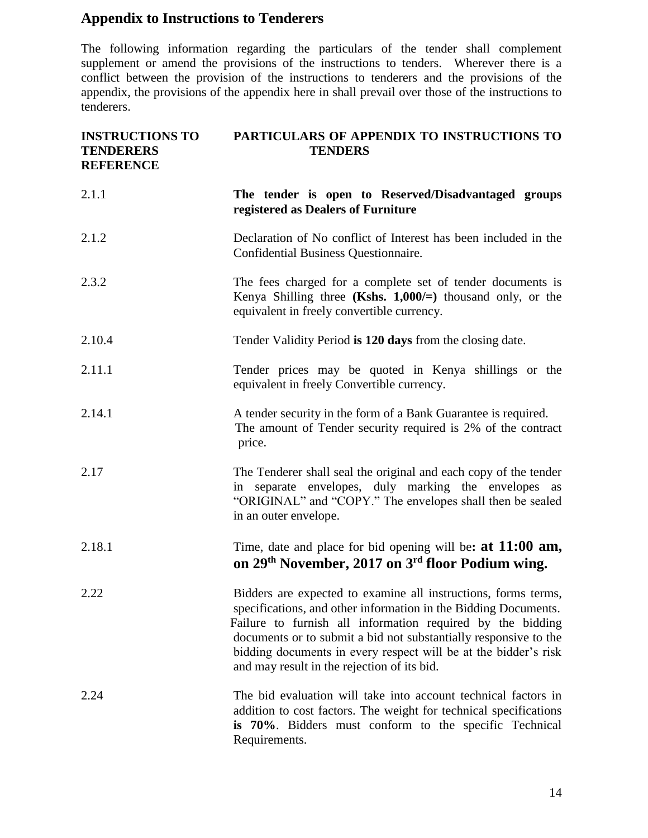# **Appendix to Instructions to Tenderers**

The following information regarding the particulars of the tender shall complement supplement or amend the provisions of the instructions to tenders. Wherever there is a conflict between the provision of the instructions to tenderers and the provisions of the appendix, the provisions of the appendix here in shall prevail over those of the instructions to tenderers.

| <b>INSTRUCTIONS TO</b><br><b>TENDERERS</b><br><b>REFERENCE</b> | PARTICULARS OF APPENDIX TO INSTRUCTIONS TO<br><b>TENDERS</b>                                                                                                                                                                                                                                                                                                                          |  |  |
|----------------------------------------------------------------|---------------------------------------------------------------------------------------------------------------------------------------------------------------------------------------------------------------------------------------------------------------------------------------------------------------------------------------------------------------------------------------|--|--|
| 2.1.1                                                          | The tender is open to Reserved/Disadvantaged groups<br>registered as Dealers of Furniture                                                                                                                                                                                                                                                                                             |  |  |
| 2.1.2                                                          | Declaration of No conflict of Interest has been included in the<br>Confidential Business Questionnaire.                                                                                                                                                                                                                                                                               |  |  |
| 2.3.2                                                          | The fees charged for a complete set of tender documents is<br>Kenya Shilling three (Kshs. $1,000/=$ ) thousand only, or the<br>equivalent in freely convertible currency.                                                                                                                                                                                                             |  |  |
| 2.10.4                                                         | Tender Validity Period is 120 days from the closing date.                                                                                                                                                                                                                                                                                                                             |  |  |
| 2.11.1                                                         | Tender prices may be quoted in Kenya shillings or the<br>equivalent in freely Convertible currency.                                                                                                                                                                                                                                                                                   |  |  |
| 2.14.1                                                         | A tender security in the form of a Bank Guarantee is required.<br>The amount of Tender security required is 2% of the contract<br>price.                                                                                                                                                                                                                                              |  |  |
| 2.17                                                           | The Tenderer shall seal the original and each copy of the tender<br>in separate envelopes, duly marking the envelopes as<br>"ORIGINAL" and "COPY." The envelopes shall then be sealed<br>in an outer envelope.                                                                                                                                                                        |  |  |
| 2.18.1                                                         | Time, date and place for bid opening will be: at $11:00$ am,<br>on 29 <sup>th</sup> November, 2017 on 3 <sup>rd</sup> floor Podium wing.                                                                                                                                                                                                                                              |  |  |
| 2.22                                                           | Bidders are expected to examine all instructions, forms terms,<br>specifications, and other information in the Bidding Documents.<br>Failure to furnish all information required by the bidding<br>documents or to submit a bid not substantially responsive to the<br>bidding documents in every respect will be at the bidder's risk<br>and may result in the rejection of its bid. |  |  |
| 2.24                                                           | The bid evaluation will take into account technical factors in<br>addition to cost factors. The weight for technical specifications<br>is 70%. Bidders must conform to the specific Technical<br>Requirements.                                                                                                                                                                        |  |  |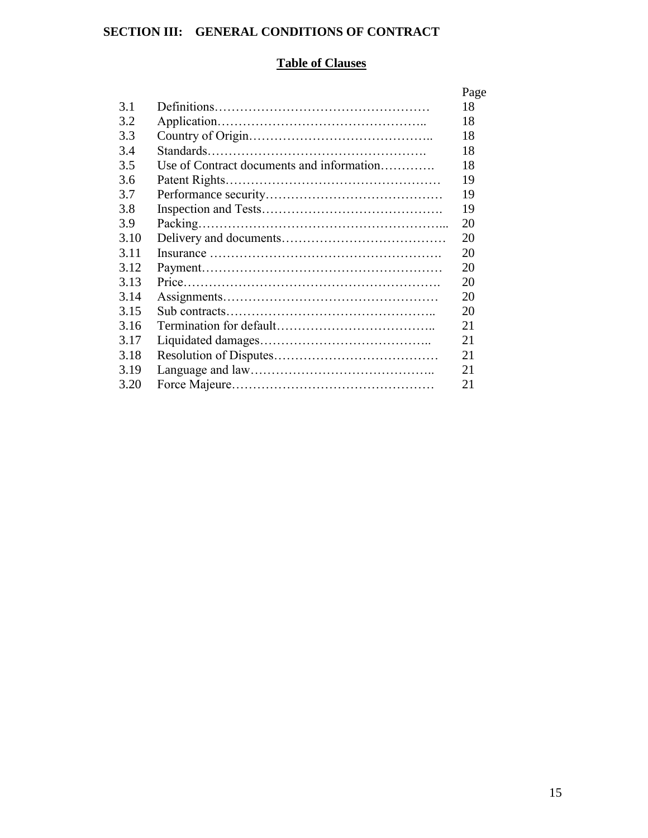# **SECTION III: GENERAL CONDITIONS OF CONTRACT**

# **Table of Clauses**

|      |                                           | Page |
|------|-------------------------------------------|------|
| 3.1  |                                           | 18   |
| 3.2  |                                           | 18   |
| 3.3  |                                           | 18   |
| 3.4  |                                           | 18   |
| 3.5  | Use of Contract documents and information | 18   |
| 3.6  |                                           | 19   |
| 3.7  |                                           | 19   |
| 3.8  |                                           | 19   |
| 3.9  |                                           | 20   |
| 3.10 |                                           | 20   |
| 3.11 |                                           | 20   |
| 3.12 |                                           | 20   |
| 3.13 |                                           | 20   |
| 3.14 |                                           | 20   |
| 3.15 |                                           | 20   |
| 3.16 |                                           | 21   |
| 3.17 |                                           | 21   |
| 3.18 |                                           | 21   |
| 3.19 |                                           | 21   |
| 3.20 |                                           | 21   |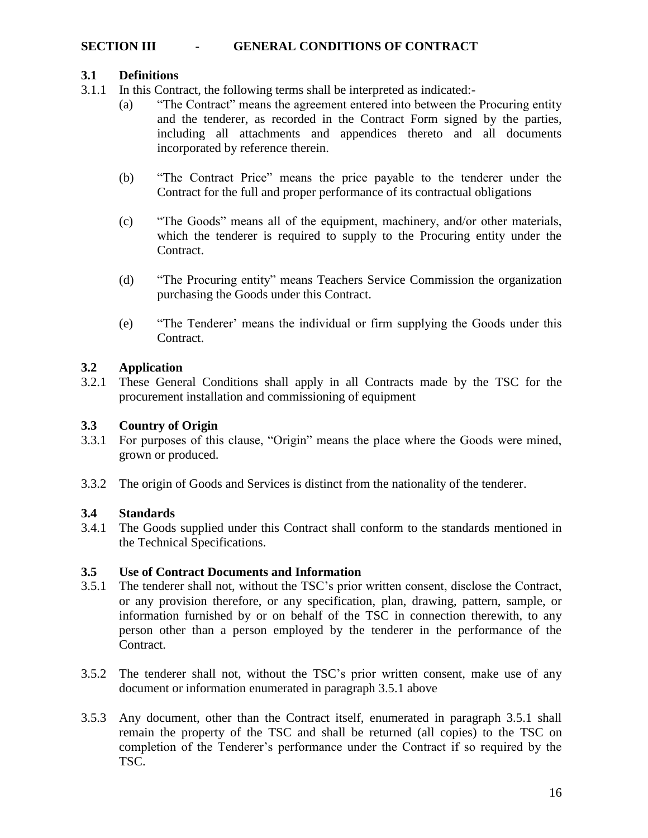### **SECTION III - GENERAL CONDITIONS OF CONTRACT**

#### **3.1 Definitions**

- 3.1.1 In this Contract, the following terms shall be interpreted as indicated:-
	- (a) "The Contract" means the agreement entered into between the Procuring entity and the tenderer, as recorded in the Contract Form signed by the parties, including all attachments and appendices thereto and all documents incorporated by reference therein.
	- (b) "The Contract Price" means the price payable to the tenderer under the Contract for the full and proper performance of its contractual obligations
	- (c) "The Goods" means all of the equipment, machinery, and/or other materials, which the tenderer is required to supply to the Procuring entity under the Contract.
	- (d) "The Procuring entity" means Teachers Service Commission the organization purchasing the Goods under this Contract.
	- (e) "The Tenderer' means the individual or firm supplying the Goods under this Contract.

#### **3.2 Application**

3.2.1 These General Conditions shall apply in all Contracts made by the TSC for the procurement installation and commissioning of equipment

#### **3.3 Country of Origin**

- 3.3.1 For purposes of this clause, "Origin" means the place where the Goods were mined, grown or produced.
- 3.3.2 The origin of Goods and Services is distinct from the nationality of the tenderer.

#### **3.4 Standards**

3.4.1 The Goods supplied under this Contract shall conform to the standards mentioned in the Technical Specifications.

#### **3.5 Use of Contract Documents and Information**

- 3.5.1 The tenderer shall not, without the TSC's prior written consent, disclose the Contract, or any provision therefore, or any specification, plan, drawing, pattern, sample, or information furnished by or on behalf of the TSC in connection therewith, to any person other than a person employed by the tenderer in the performance of the Contract.
- 3.5.2 The tenderer shall not, without the TSC's prior written consent, make use of any document or information enumerated in paragraph 3.5.1 above
- 3.5.3 Any document, other than the Contract itself, enumerated in paragraph 3.5.1 shall remain the property of the TSC and shall be returned (all copies) to the TSC on completion of the Tenderer's performance under the Contract if so required by the TSC.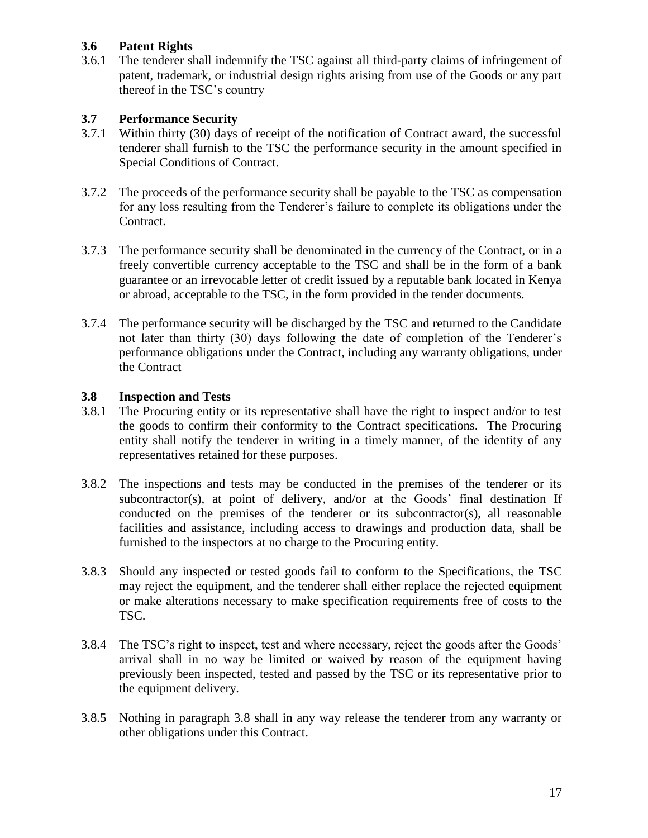## **3.6 Patent Rights**

3.6.1 The tenderer shall indemnify the TSC against all third-party claims of infringement of patent, trademark, or industrial design rights arising from use of the Goods or any part thereof in the TSC's country

### **3.7 Performance Security**

- 3.7.1 Within thirty (30) days of receipt of the notification of Contract award, the successful tenderer shall furnish to the TSC the performance security in the amount specified in Special Conditions of Contract.
- 3.7.2 The proceeds of the performance security shall be payable to the TSC as compensation for any loss resulting from the Tenderer's failure to complete its obligations under the Contract.
- 3.7.3 The performance security shall be denominated in the currency of the Contract, or in a freely convertible currency acceptable to the TSC and shall be in the form of a bank guarantee or an irrevocable letter of credit issued by a reputable bank located in Kenya or abroad, acceptable to the TSC, in the form provided in the tender documents.
- 3.7.4 The performance security will be discharged by the TSC and returned to the Candidate not later than thirty (30) days following the date of completion of the Tenderer's performance obligations under the Contract, including any warranty obligations, under the Contract

#### **3.8 Inspection and Tests**

- 3.8.1 The Procuring entity or its representative shall have the right to inspect and/or to test the goods to confirm their conformity to the Contract specifications. The Procuring entity shall notify the tenderer in writing in a timely manner, of the identity of any representatives retained for these purposes.
- 3.8.2 The inspections and tests may be conducted in the premises of the tenderer or its subcontractor(s), at point of delivery, and/or at the Goods' final destination If conducted on the premises of the tenderer or its subcontractor(s), all reasonable facilities and assistance, including access to drawings and production data, shall be furnished to the inspectors at no charge to the Procuring entity.
- 3.8.3 Should any inspected or tested goods fail to conform to the Specifications, the TSC may reject the equipment, and the tenderer shall either replace the rejected equipment or make alterations necessary to make specification requirements free of costs to the TSC.
- 3.8.4 The TSC's right to inspect, test and where necessary, reject the goods after the Goods' arrival shall in no way be limited or waived by reason of the equipment having previously been inspected, tested and passed by the TSC or its representative prior to the equipment delivery.
- 3.8.5 Nothing in paragraph 3.8 shall in any way release the tenderer from any warranty or other obligations under this Contract.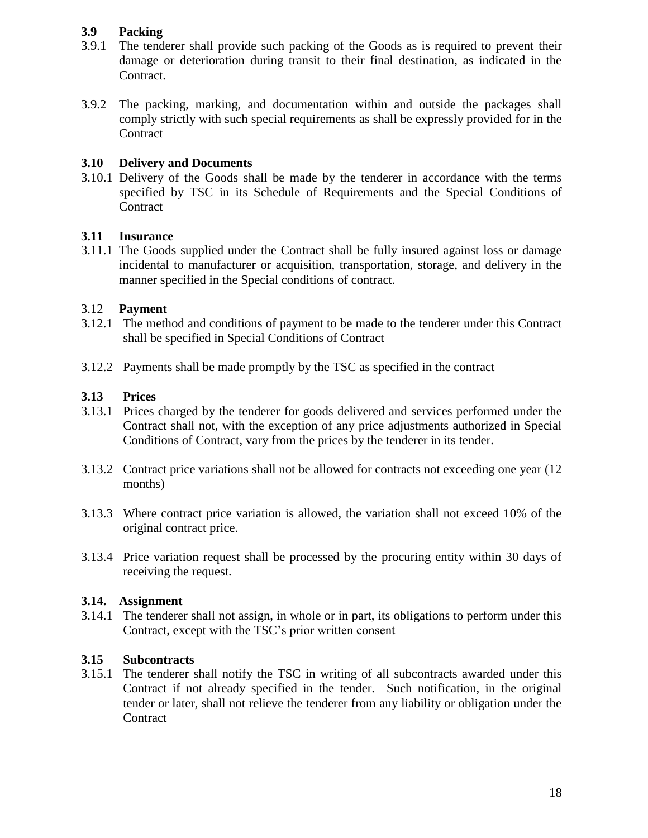## **3.9 Packing**

- 3.9.1 The tenderer shall provide such packing of the Goods as is required to prevent their damage or deterioration during transit to their final destination, as indicated in the Contract.
- 3.9.2 The packing, marking, and documentation within and outside the packages shall comply strictly with such special requirements as shall be expressly provided for in the **Contract**

### **3.10 Delivery and Documents**

3.10.1 Delivery of the Goods shall be made by the tenderer in accordance with the terms specified by TSC in its Schedule of Requirements and the Special Conditions of **Contract** 

#### **3.11 Insurance**

3.11.1 The Goods supplied under the Contract shall be fully insured against loss or damage incidental to manufacturer or acquisition, transportation, storage, and delivery in the manner specified in the Special conditions of contract.

## 3.12 **Payment**

- 3.12.1 The method and conditions of payment to be made to the tenderer under this Contract shall be specified in Special Conditions of Contract
- 3.12.2 Payments shall be made promptly by the TSC as specified in the contract

## **3.13 Prices**

- 3.13.1 Prices charged by the tenderer for goods delivered and services performed under the Contract shall not, with the exception of any price adjustments authorized in Special Conditions of Contract, vary from the prices by the tenderer in its tender.
- 3.13.2 Contract price variations shall not be allowed for contracts not exceeding one year (12 months)
- 3.13.3 Where contract price variation is allowed, the variation shall not exceed 10% of the original contract price.
- 3.13.4 Price variation request shall be processed by the procuring entity within 30 days of receiving the request.

#### **3.14. Assignment**

3.14.1 The tenderer shall not assign, in whole or in part, its obligations to perform under this Contract, except with the TSC's prior written consent

#### **3.15 Subcontracts**

3.15.1 The tenderer shall notify the TSC in writing of all subcontracts awarded under this Contract if not already specified in the tender. Such notification, in the original tender or later, shall not relieve the tenderer from any liability or obligation under the **Contract**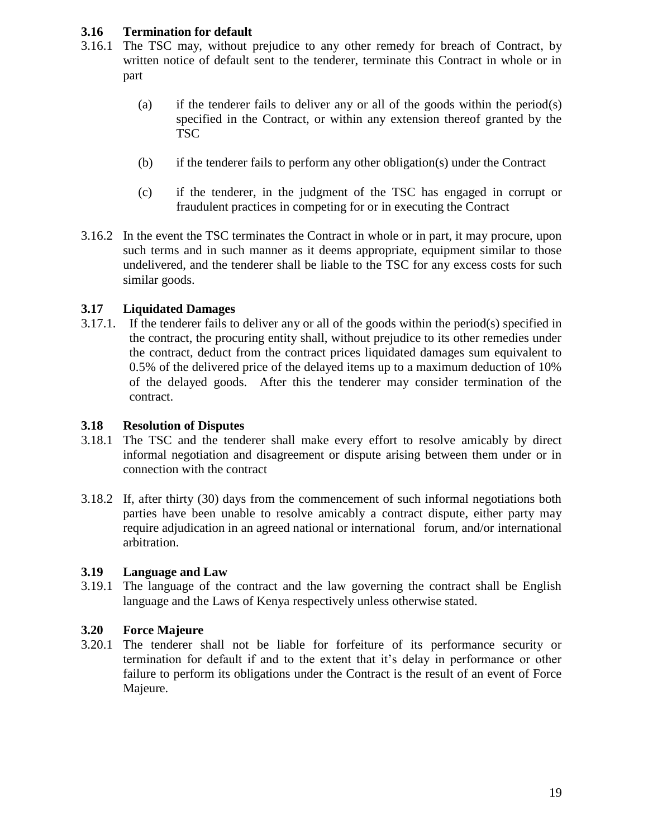#### **3.16 Termination for default**

- 3.16.1 The TSC may, without prejudice to any other remedy for breach of Contract, by written notice of default sent to the tenderer, terminate this Contract in whole or in part
	- (a) if the tenderer fails to deliver any or all of the goods within the period(s) specified in the Contract, or within any extension thereof granted by the TSC
	- (b) if the tenderer fails to perform any other obligation(s) under the Contract
	- (c) if the tenderer, in the judgment of the TSC has engaged in corrupt or fraudulent practices in competing for or in executing the Contract
- 3.16.2 In the event the TSC terminates the Contract in whole or in part, it may procure, upon such terms and in such manner as it deems appropriate, equipment similar to those undelivered, and the tenderer shall be liable to the TSC for any excess costs for such similar goods.

# **3.17 Liquidated Damages**

3.17.1. If the tenderer fails to deliver any or all of the goods within the period(s) specified in the contract, the procuring entity shall, without prejudice to its other remedies under the contract, deduct from the contract prices liquidated damages sum equivalent to 0.5% of the delivered price of the delayed items up to a maximum deduction of 10% of the delayed goods. After this the tenderer may consider termination of the contract.

### **3.18 Resolution of Disputes**

- 3.18.1 The TSC and the tenderer shall make every effort to resolve amicably by direct informal negotiation and disagreement or dispute arising between them under or in connection with the contract
- 3.18.2 If, after thirty (30) days from the commencement of such informal negotiations both parties have been unable to resolve amicably a contract dispute, either party may require adjudication in an agreed national or international forum, and/or international arbitration.

#### **3.19 Language and Law**

3.19.1 The language of the contract and the law governing the contract shall be English language and the Laws of Kenya respectively unless otherwise stated.

# **3.20 Force Majeure**

3.20.1 The tenderer shall not be liable for forfeiture of its performance security or termination for default if and to the extent that it's delay in performance or other failure to perform its obligations under the Contract is the result of an event of Force Majeure.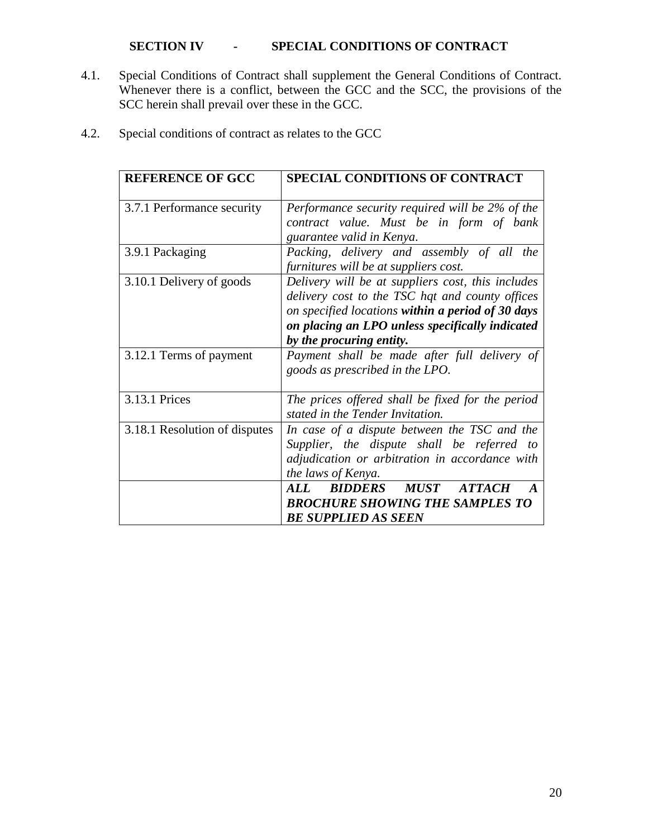# **SECTION IV - SPECIAL CONDITIONS OF CONTRACT**

4.1. Special Conditions of Contract shall supplement the General Conditions of Contract. Whenever there is a conflict, between the GCC and the SCC, the provisions of the SCC herein shall prevail over these in the GCC.

| <b>REFERENCE OF GCC</b>       | <b>SPECIAL CONDITIONS OF CONTRACT</b>                                                                                                                                                                                                    |
|-------------------------------|------------------------------------------------------------------------------------------------------------------------------------------------------------------------------------------------------------------------------------------|
| 3.7.1 Performance security    | Performance security required will be 2% of the<br>contract value. Must be in form of bank<br>guarantee valid in Kenya.                                                                                                                  |
| 3.9.1 Packaging               | Packing, delivery and assembly of all the<br>furnitures will be at suppliers cost.                                                                                                                                                       |
| 3.10.1 Delivery of goods      | Delivery will be at suppliers cost, this includes<br>delivery cost to the TSC hqt and county offices<br>on specified locations within a period of 30 days<br>on placing an LPO unless specifically indicated<br>by the procuring entity. |
| 3.12.1 Terms of payment       | Payment shall be made after full delivery of<br>goods as prescribed in the LPO.                                                                                                                                                          |
| 3.13.1 Prices                 | The prices offered shall be fixed for the period<br>stated in the Tender Invitation.                                                                                                                                                     |
| 3.18.1 Resolution of disputes | In case of a dispute between the TSC and the<br>Supplier, the dispute shall be referred to<br>adjudication or arbitration in accordance with<br>the laws of Kenya.                                                                       |
|                               | <b>MUST</b><br>ALL<br><i><b>BIDDERS</b></i><br><b>ATTACH</b><br><b>BROCHURE SHOWING THE SAMPLES TO</b><br><b>BE SUPPLIED AS SEEN</b>                                                                                                     |

4.2. Special conditions of contract as relates to the GCC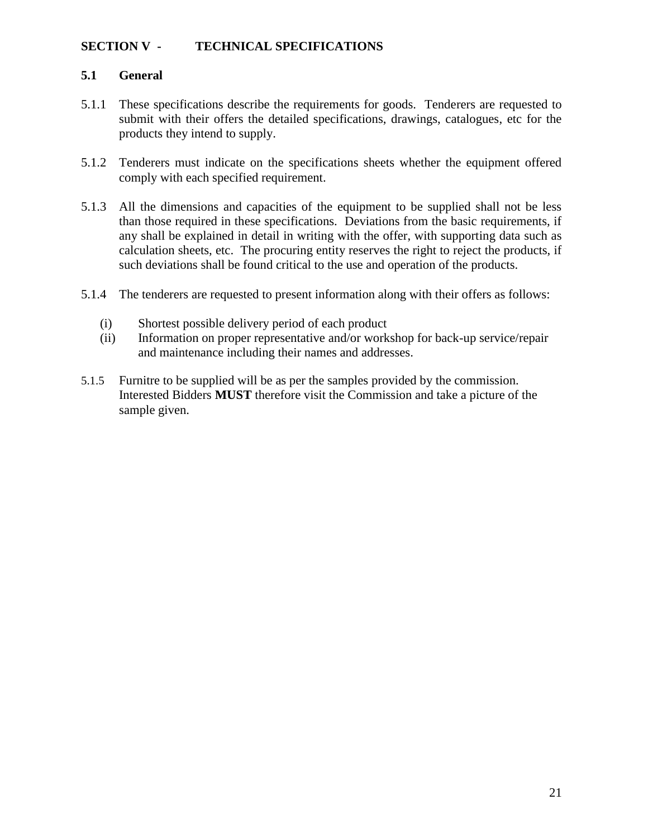## **SECTION V - TECHNICAL SPECIFICATIONS**

#### **5.1 General**

- 5.1.1 These specifications describe the requirements for goods. Tenderers are requested to submit with their offers the detailed specifications, drawings, catalogues, etc for the products they intend to supply.
- 5.1.2 Tenderers must indicate on the specifications sheets whether the equipment offered comply with each specified requirement.
- 5.1.3 All the dimensions and capacities of the equipment to be supplied shall not be less than those required in these specifications. Deviations from the basic requirements, if any shall be explained in detail in writing with the offer, with supporting data such as calculation sheets, etc. The procuring entity reserves the right to reject the products, if such deviations shall be found critical to the use and operation of the products.
- 5.1.4 The tenderers are requested to present information along with their offers as follows:
	- (i) Shortest possible delivery period of each product
	- (ii) Information on proper representative and/or workshop for back-up service/repair and maintenance including their names and addresses.
- 5.1.5 Furnitre to be supplied will be as per the samples provided by the commission. Interested Bidders **MUST** therefore visit the Commission and take a picture of the sample given.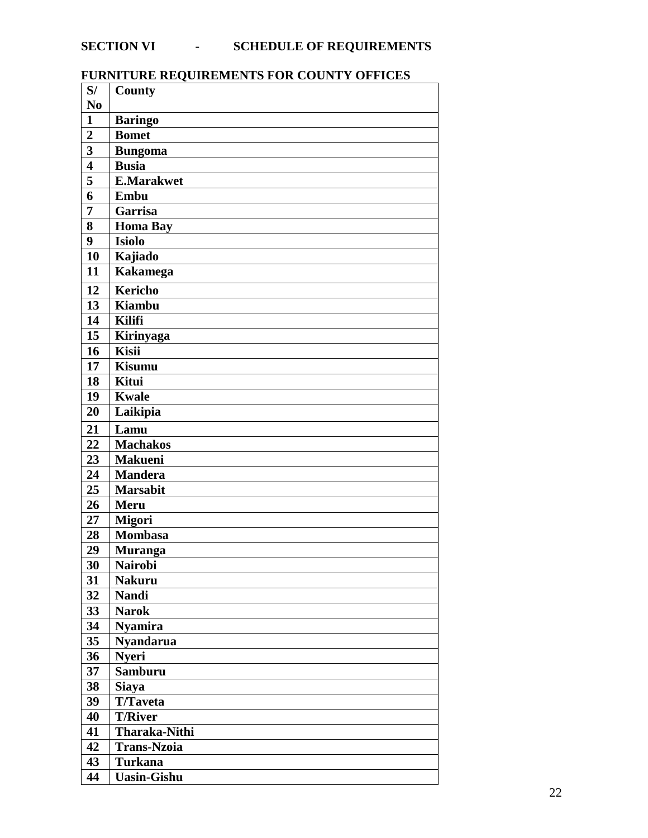# **SECTION VI - SCHEDULE OF REQUIREMENTS**

# **FURNITURE REQUIREMENTS FOR COUNTY OFFICES**

| S/                      | <b>County</b>        |
|-------------------------|----------------------|
| N <sub>0</sub>          |                      |
| $\mathbf{1}$            | <b>Baringo</b>       |
| $\overline{2}$          | <b>Bomet</b>         |
| $\overline{\mathbf{3}}$ | <b>Bungoma</b>       |
| $\overline{\mathbf{4}}$ | <b>Busia</b>         |
| 5                       | <b>E.Marakwet</b>    |
| 6                       | Embu                 |
| $\overline{7}$          | Garrisa              |
| 8                       | Homa Bay             |
| 9                       | <b>Isiolo</b>        |
| 10                      | Kajiado              |
| 11                      | <b>Kakamega</b>      |
| 12                      | <b>Kericho</b>       |
| 13                      | <b>Kiambu</b>        |
| 14                      | <b>Kilifi</b>        |
| 15                      | Kirinyaga            |
| 16                      | <b>Kisii</b>         |
| 17                      | Kisumu               |
| 18                      | Kitui                |
| 19                      | <b>Kwale</b>         |
| 20                      | Laikipia             |
| 21                      | Lamu                 |
| 22                      | <b>Machakos</b>      |
| 23                      | <b>Makueni</b>       |
| 24                      | <b>Mandera</b>       |
| 25                      | <b>Marsabit</b>      |
| 26                      | <b>Meru</b>          |
| 27                      | <b>Migori</b>        |
| 28                      | <b>Mombasa</b>       |
| 29                      | <b>Muranga</b>       |
| 30                      | <b>Nairobi</b>       |
| 31                      | <b>Nakuru</b>        |
| 32                      | <b>Nandi</b>         |
| 33                      | <b>Narok</b>         |
| 34                      | <b>Nyamira</b>       |
| 35                      | <b>Nyandarua</b>     |
| 36                      | <b>Nyeri</b>         |
| 37                      | <b>Samburu</b>       |
| 38                      | <b>Siaya</b>         |
| 39                      | <b>T/Taveta</b>      |
| 40                      | <b>T/River</b>       |
| 41                      | <b>Tharaka-Nithi</b> |
| 42                      | <b>Trans-Nzoia</b>   |
| 43                      | <b>Turkana</b>       |
| 44                      | <b>Uasin-Gishu</b>   |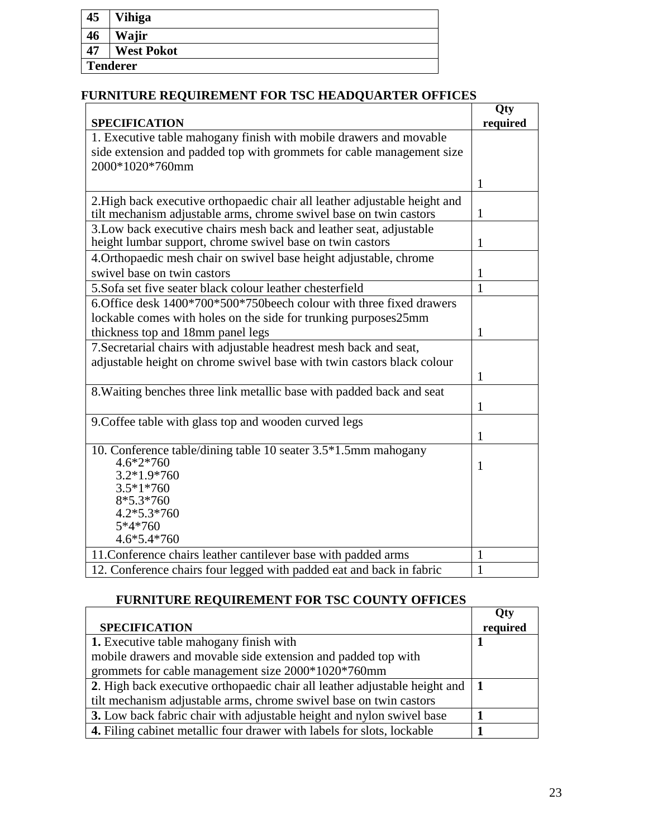| 45 | Vihiga            |
|----|-------------------|
|    |                   |
| 46 | Wajir             |
| 47 | <b>West Pokot</b> |
|    | <b>Tenderer</b>   |
|    |                   |

# **FURNITURE REQUIREMENT FOR TSC HEADQUARTER OFFICES**

|                                                                            | Qty          |
|----------------------------------------------------------------------------|--------------|
| <b>SPECIFICATION</b>                                                       | required     |
| 1. Executive table mahogany finish with mobile drawers and movable         |              |
| side extension and padded top with grommets for cable management size      |              |
| 2000*1020*760mm                                                            |              |
|                                                                            | 1            |
| 2. High back executive orthopaedic chair all leather adjustable height and |              |
| tilt mechanism adjustable arms, chrome swivel base on twin castors         | 1            |
| 3. Low back executive chairs mesh back and leather seat, adjustable        |              |
| height lumbar support, chrome swivel base on twin castors                  | 1            |
| 4. Orthopaedic mesh chair on swivel base height adjustable, chrome         |              |
| swivel base on twin castors                                                | $\mathbf{1}$ |
| 5. Sofa set five seater black colour leather chesterfield                  | 1            |
| 6. Office desk 1400*700*500*750 beech colour with three fixed drawers      |              |
| lockable comes with holes on the side for trunking purposes25mm            |              |
| thickness top and 18mm panel legs                                          | 1            |
| 7. Secretarial chairs with adjustable headrest mesh back and seat,         |              |
| adjustable height on chrome swivel base with twin castors black colour     |              |
|                                                                            | $\mathbf{1}$ |
| 8. Waiting benches three link metallic base with padded back and seat      |              |
|                                                                            | 1            |
| 9. Coffee table with glass top and wooden curved legs                      |              |
|                                                                            | $\mathbf{1}$ |
| 10. Conference table/dining table 10 seater 3.5*1.5mm mahogany             |              |
| 4.6*2*760                                                                  | $\mathbf{1}$ |
| 3.2*1.9*760<br>$3.5*1*760$                                                 |              |
| $8*5.3*760$                                                                |              |
| $4.2*5.3*760$                                                              |              |
| 5*4*760                                                                    |              |
| 4.6*5.4*760                                                                |              |
| 11. Conference chairs leather cantilever base with padded arms             | 1            |
| 12. Conference chairs four legged with padded eat and back in fabric       | $\mathbf{1}$ |

# **FURNITURE REQUIREMENT FOR TSC COUNTY OFFICES**

|                                                                                | <b>Qty</b> |
|--------------------------------------------------------------------------------|------------|
| <b>SPECIFICATION</b>                                                           | required   |
| 1. Executive table mahogany finish with                                        |            |
| mobile drawers and movable side extension and padded top with                  |            |
| grommets for cable management size 2000*1020*760mm                             |            |
| 2. High back executive orthopaedic chair all leather adjustable height and   1 |            |
| tilt mechanism adjustable arms, chrome swivel base on twin castors             |            |
| 3. Low back fabric chair with adjustable height and nylon swivel base          |            |
| 4. Filing cabinet metallic four drawer with labels for slots, lockable         |            |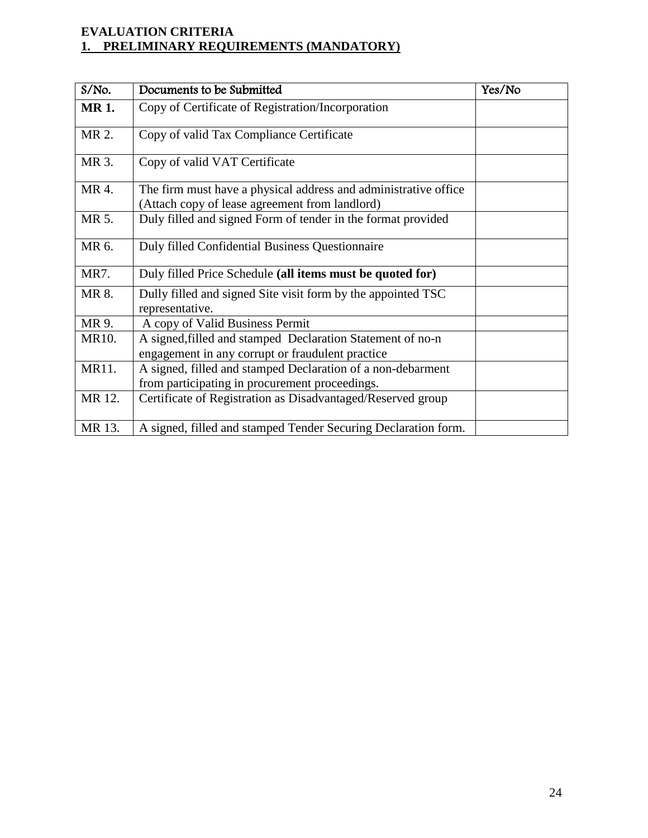# **EVALUATION CRITERIA 1. PRELIMINARY REQUIREMENTS (MANDATORY)**

| S/No.       | Documents to be Submitted                                                                                         | Yes/No |
|-------------|-------------------------------------------------------------------------------------------------------------------|--------|
| <b>MR1.</b> | Copy of Certificate of Registration/Incorporation                                                                 |        |
| MR 2.       | Copy of valid Tax Compliance Certificate                                                                          |        |
| MR 3.       | Copy of valid VAT Certificate                                                                                     |        |
| MR 4.       | The firm must have a physical address and administrative office<br>(Attach copy of lease agreement from landlord) |        |
| MR 5.       | Duly filled and signed Form of tender in the format provided                                                      |        |
| MR 6.       | Duly filled Confidential Business Questionnaire                                                                   |        |
| MR7.        | Duly filled Price Schedule (all items must be quoted for)                                                         |        |
| MR 8.       | Dully filled and signed Site visit form by the appointed TSC<br>representative.                                   |        |
| MR 9.       | A copy of Valid Business Permit                                                                                   |        |
| MR10.       | A signed, filled and stamped Declaration Statement of no-n<br>engagement in any corrupt or fraudulent practice    |        |
| MR11.       | A signed, filled and stamped Declaration of a non-debarment<br>from participating in procurement proceedings.     |        |
| MR 12.      | Certificate of Registration as Disadvantaged/Reserved group                                                       |        |
| MR 13.      | A signed, filled and stamped Tender Securing Declaration form.                                                    |        |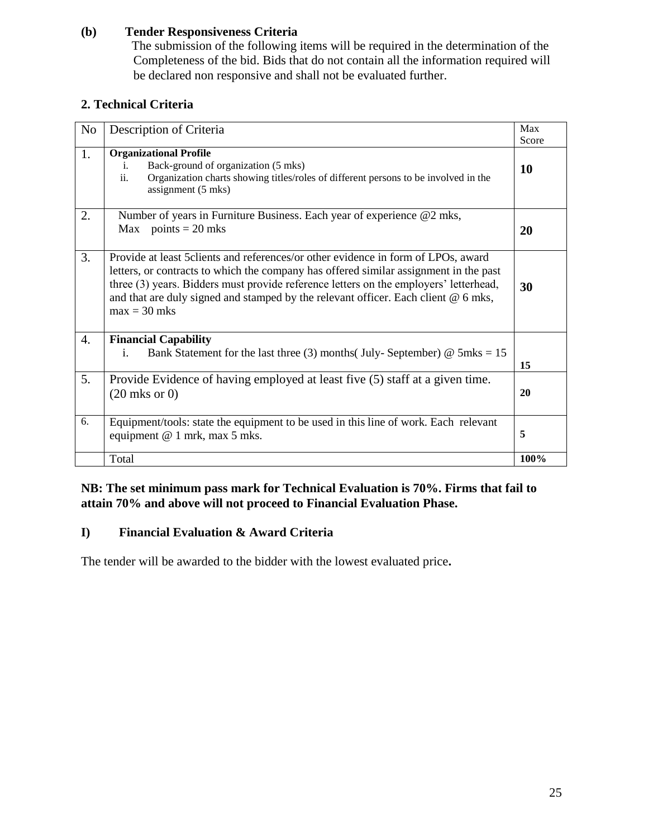#### **(b) Tender Responsiveness Criteria**

The submission of the following items will be required in the determination of the Completeness of the bid. Bids that do not contain all the information required will be declared non responsive and shall not be evaluated further.

# **2. Technical Criteria**

| No               | Description of Criteria                                                                                                                                                                                                                                                                                                                                                        | Max<br>Score |
|------------------|--------------------------------------------------------------------------------------------------------------------------------------------------------------------------------------------------------------------------------------------------------------------------------------------------------------------------------------------------------------------------------|--------------|
| 1.               | <b>Organizational Profile</b><br>Back-ground of organization (5 mks)<br>i.<br>ii.<br>Organization charts showing titles/roles of different persons to be involved in the<br>assignment (5 mks)                                                                                                                                                                                 | 10           |
| 2.               | Number of years in Furniture Business. Each year of experience @2 mks,<br>Max points = $20$ mks                                                                                                                                                                                                                                                                                | 20           |
| 3.               | Provide at least 5 clients and references/or other evidence in form of LPOs, award<br>letters, or contracts to which the company has offered similar assignment in the past<br>three (3) years. Bidders must provide reference letters on the employers' letterhead,<br>and that are duly signed and stamped by the relevant officer. Each client $@$ 6 mks,<br>$max = 30$ mks | 30           |
| $\overline{4}$ . | <b>Financial Capability</b><br>$\mathbf{i}$ .<br>Bank Statement for the last three (3) months (July-September) $\omega$ 5mks = 15                                                                                                                                                                                                                                              | 15           |
| 5.               | Provide Evidence of having employed at least five (5) staff at a given time.<br>$(20$ mks or $0)$                                                                                                                                                                                                                                                                              | 20           |
| 6.               | Equipment/tools: state the equipment to be used in this line of work. Each relevant<br>equipment @ 1 mrk, max 5 mks.                                                                                                                                                                                                                                                           | 5            |
|                  | Total                                                                                                                                                                                                                                                                                                                                                                          | 100%         |

## **NB: The set minimum pass mark for Technical Evaluation is 70%. Firms that fail to attain 70% and above will not proceed to Financial Evaluation Phase.**

# **I) Financial Evaluation & Award Criteria**

The tender will be awarded to the bidder with the lowest evaluated price**.**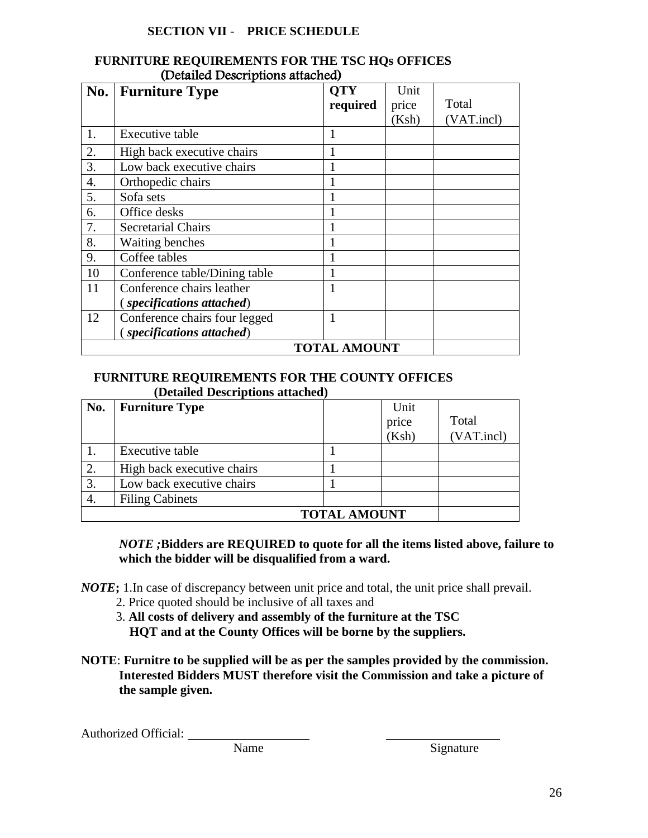#### **SECTION VII** - **PRICE SCHEDULE**

| No. | $($ Demned Descriptions annument<br><b>Furniture Type</b> | <b>OTY</b><br>required | Unit<br>price | Total      |
|-----|-----------------------------------------------------------|------------------------|---------------|------------|
|     |                                                           |                        | (Ksh)         | (VAT.incl) |
| 1.  | Executive table                                           | 1                      |               |            |
| 2.  | High back executive chairs                                |                        |               |            |
| 3.  | Low back executive chairs                                 |                        |               |            |
| 4.  | Orthopedic chairs                                         |                        |               |            |
| 5.  | Sofa sets                                                 |                        |               |            |
| 6.  | Office desks                                              |                        |               |            |
| 7.  | <b>Secretarial Chairs</b>                                 |                        |               |            |
| 8.  | Waiting benches                                           |                        |               |            |
| 9.  | Coffee tables                                             |                        |               |            |
| 10  | Conference table/Dining table                             |                        |               |            |
| 11  | Conference chairs leather                                 |                        |               |            |
|     | (specifications attached)                                 |                        |               |            |
| 12  | Conference chairs four legged                             |                        |               |            |
|     | (specifications attached)                                 |                        |               |            |
|     |                                                           | <b>TOTAL AMOUNT</b>    |               |            |

#### **FURNITURE REQUIREMENTS FOR THE TSC HQs OFFICES** (Detailed Descriptions attached)

#### **FURNITURE REQUIREMENTS FOR THE COUNTY OFFICES (Detailed Descriptions attached)**

| No.                 | <b>Furniture Type</b>      |  | Unit<br>price<br>(Ksh) | Total<br>(VAT.incl) |
|---------------------|----------------------------|--|------------------------|---------------------|
|                     | Executive table            |  |                        |                     |
| 2.                  | High back executive chairs |  |                        |                     |
| 3.                  | Low back executive chairs  |  |                        |                     |
|                     | <b>Filing Cabinets</b>     |  |                        |                     |
| <b>TOTAL AMOUNT</b> |                            |  |                        |                     |

#### *NOTE ;***Bidders are REQUIRED to quote for all the items listed above, failure to which the bidder will be disqualified from a ward.**

*NOTE***;** 1.In case of discrepancy between unit price and total, the unit price shall prevail.

- 2. Price quoted should be inclusive of all taxes and
- 3. **All costs of delivery and assembly of the furniture at the TSC HQT and at the County Offices will be borne by the suppliers.**
- **NOTE**: **Furnitre to be supplied will be as per the samples provided by the commission. Interested Bidders MUST therefore visit the Commission and take a picture of the sample given.**

Authorized Official:

Name Signature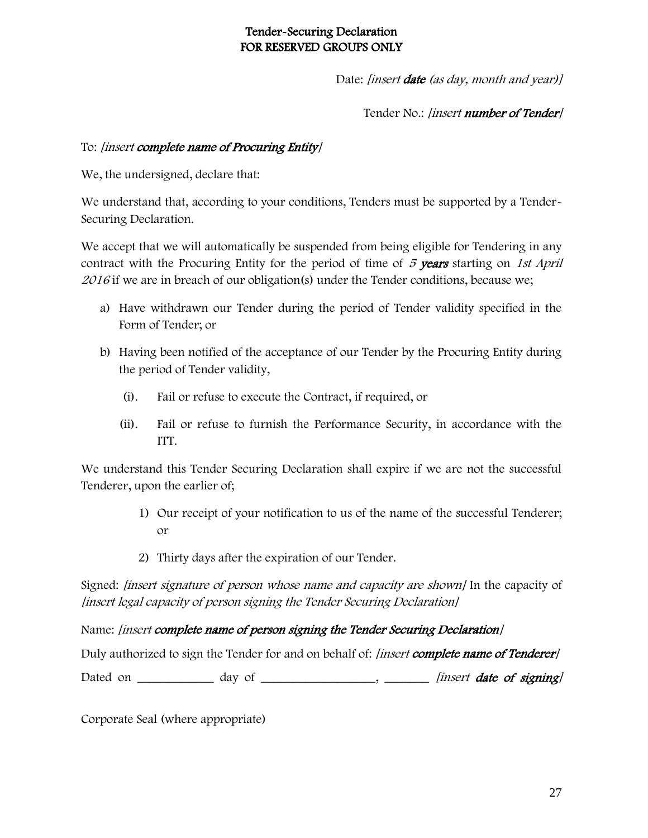# Tender-Securing Declaration FOR RESERVED GROUPS ONLY

Date: [insert **date** (as day, month and year)]

Tender No.: [insert number of Tender]

## To: [insert complete name of Procuring Entity]

We, the undersigned, declare that:

We understand that, according to your conditions, Tenders must be supported by a Tender-Securing Declaration.

We accept that we will automatically be suspended from being eligible for Tendering in any contract with the Procuring Entity for the period of time of 5 years starting on 1st April 2016 if we are in breach of our obligation(s) under the Tender conditions, because we;

- a) Have withdrawn our Tender during the period of Tender validity specified in the Form of Tender; or
- b) Having been notified of the acceptance of our Tender by the Procuring Entity during the period of Tender validity,
	- (i). Fail or refuse to execute the Contract, if required, or
	- (ii). Fail or refuse to furnish the Performance Security, in accordance with the ITT.

We understand this Tender Securing Declaration shall expire if we are not the successful Tenderer, upon the earlier of;

- 1) Our receipt of your notification to us of the name of the successful Tenderer; or
- 2) Thirty days after the expiration of our Tender.

Signed: [insert signature of person whose name and capacity are shown] In the capacity of [insert legal capacity of person signing the Tender Securing Declaration]

Name: [insert complete name of person signing the Tender Securing Declaration]

Duly authorized to sign the Tender for and on behalf of: *[insert complete name of Tenderer]* 

Dated on \_\_\_\_\_\_\_\_\_\_\_\_ day of \_\_\_\_\_\_\_\_\_\_\_\_\_\_\_\_\_\_, \_\_\_\_\_\_\_\_ [insert date of signing]

Corporate Seal (where appropriate)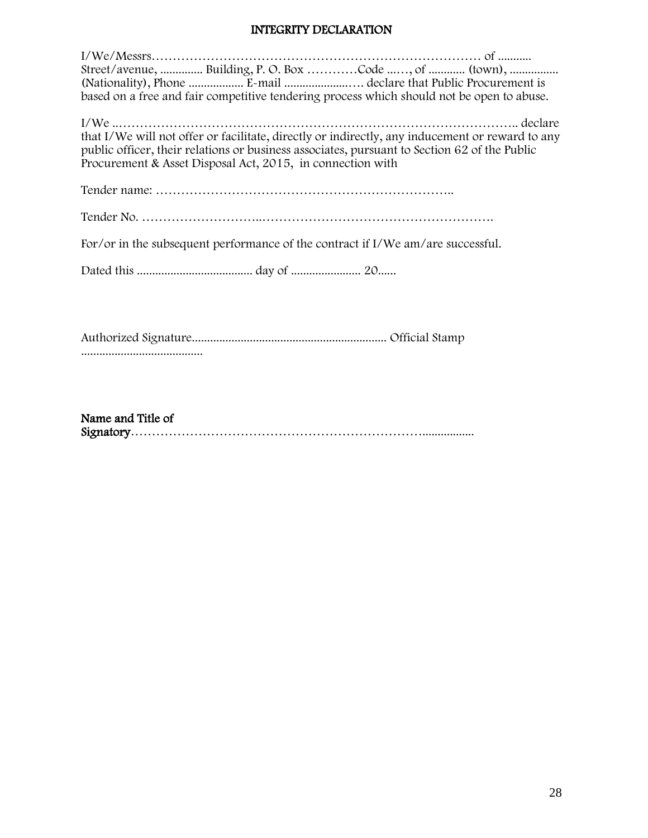#### INTEGRITY DECLARATION

| Street/avenue,  Building, P. O. Box Code , of  (town),<br>(Nationality), Phone  E-mail declare that Public Procurement is<br>based on a free and fair competitive tendering process which should not be open to abuse.                                        |
|---------------------------------------------------------------------------------------------------------------------------------------------------------------------------------------------------------------------------------------------------------------|
| that I/We will not offer or facilitate, directly or indirectly, any inducement or reward to any<br>public officer, their relations or business associates, pursuant to Section 62 of the Public<br>Procurement & Asset Disposal Act, 2015, in connection with |
|                                                                                                                                                                                                                                                               |
|                                                                                                                                                                                                                                                               |
| For/or in the subsequent performance of the contract if I/We am/are successful.                                                                                                                                                                               |
|                                                                                                                                                                                                                                                               |
|                                                                                                                                                                                                                                                               |
|                                                                                                                                                                                                                                                               |

Name and Title of Signatory…………………………………………………………….................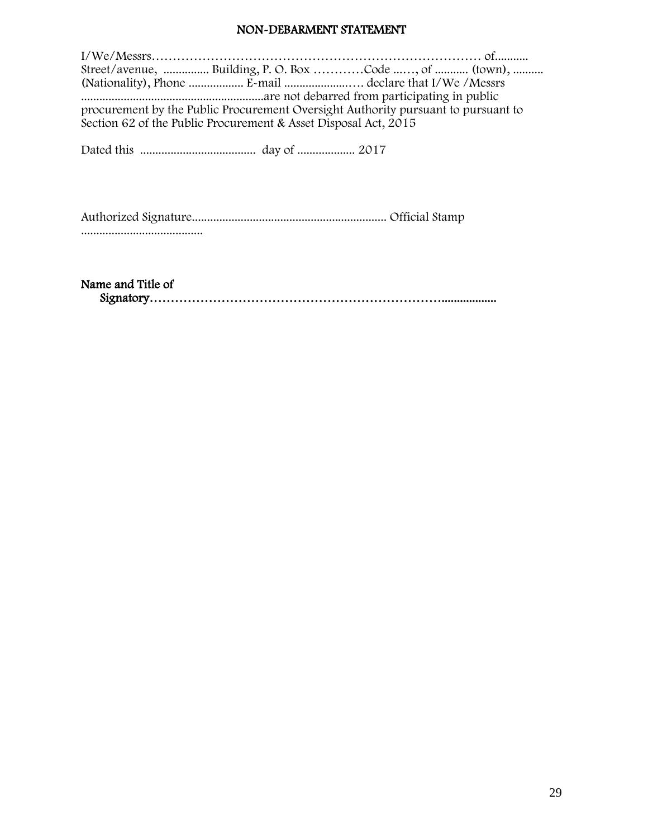#### NON-DEBARMENT STATEMENT

|                                                                                   | Street/avenue,  Building, P. O. Box Code , of  (town),          |  |  |  |
|-----------------------------------------------------------------------------------|-----------------------------------------------------------------|--|--|--|
|                                                                                   |                                                                 |  |  |  |
|                                                                                   |                                                                 |  |  |  |
| procurement by the Public Procurement Oversight Authority pursuant to pursuant to |                                                                 |  |  |  |
|                                                                                   | Section 62 of the Public Procurement & Asset Disposal Act, 2015 |  |  |  |
|                                                                                   |                                                                 |  |  |  |

Dated this ...................................... day of ................... 2017

Authorized Signature................................................................ Official Stamp ........................................

Name and Title of

Signatory……………………………………………………………..................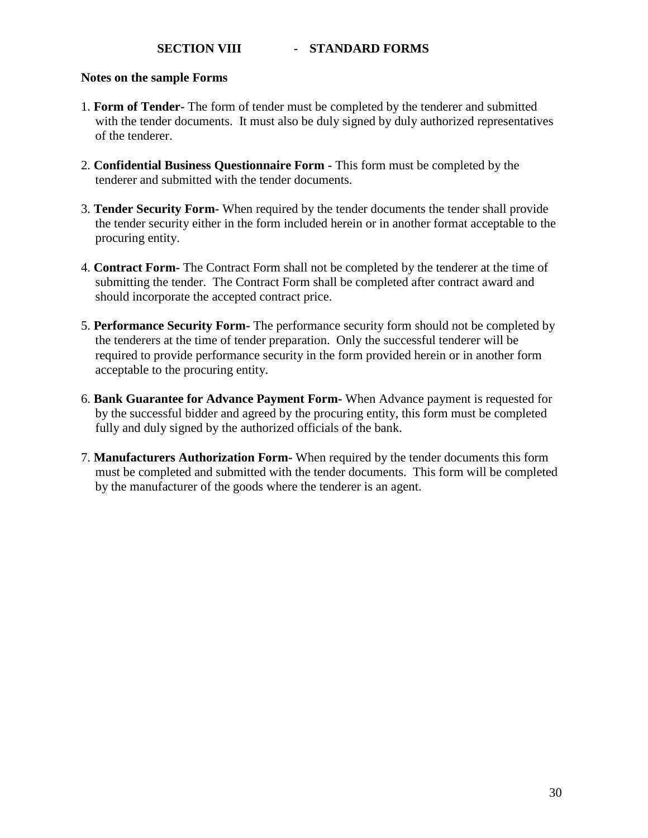#### **SECTION VIII - STANDARD FORMS**

#### **Notes on the sample Forms**

- 1. **Form of Tender-** The form of tender must be completed by the tenderer and submitted with the tender documents. It must also be duly signed by duly authorized representatives of the tenderer.
- 2. **Confidential Business Questionnaire Form -** This form must be completed by the tenderer and submitted with the tender documents.
- 3. **Tender Security Form-** When required by the tender documents the tender shall provide the tender security either in the form included herein or in another format acceptable to the procuring entity.
- 4. **Contract Form-** The Contract Form shall not be completed by the tenderer at the time of submitting the tender. The Contract Form shall be completed after contract award and should incorporate the accepted contract price.
- 5. **Performance Security Form-** The performance security form should not be completed by the tenderers at the time of tender preparation. Only the successful tenderer will be required to provide performance security in the form provided herein or in another form acceptable to the procuring entity.
- 6. **Bank Guarantee for Advance Payment Form-** When Advance payment is requested for by the successful bidder and agreed by the procuring entity, this form must be completed fully and duly signed by the authorized officials of the bank.
- 7. **Manufacturers Authorization Form-** When required by the tender documents this form must be completed and submitted with the tender documents. This form will be completed by the manufacturer of the goods where the tenderer is an agent.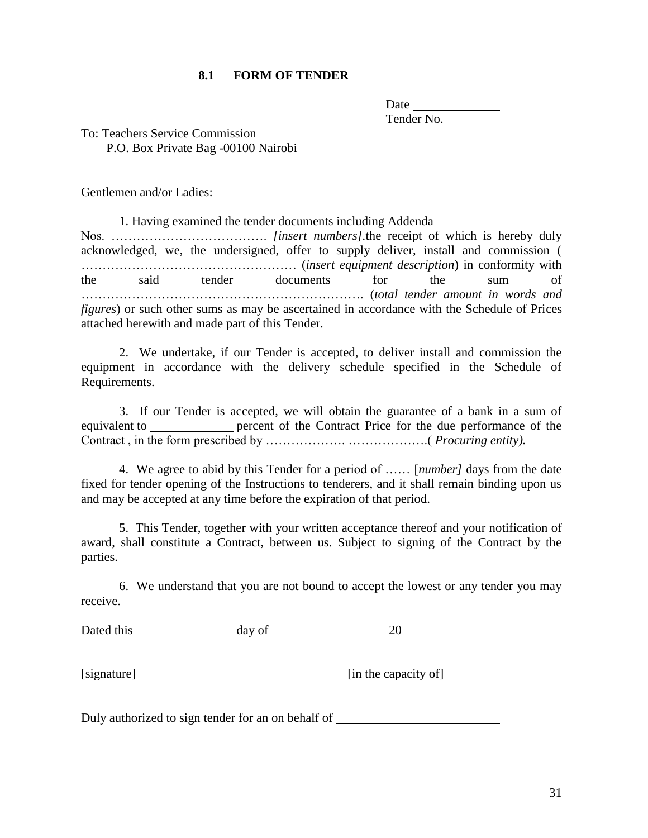#### **8.1 FORM OF TENDER**

| Date       |  |  |
|------------|--|--|
| Tender No. |  |  |

To: Teachers Service Commission P.O. Box Private Bag -00100 Nairobi

Gentlemen and/or Ladies:

1. Having examined the tender documents including Addenda Nos. ………………………………. *[insert numbers].*the receipt of which is hereby duly acknowledged, we, the undersigned, offer to supply deliver, install and commission ( …………………………………………… (*insert equipment description*) in conformity with the said tender documents for the sum of …………………………………………………………. (*total tender amount in words and figures*) or such other sums as may be ascertained in accordance with the Schedule of Prices attached herewith and made part of this Tender.

2. We undertake, if our Tender is accepted, to deliver install and commission the equipment in accordance with the delivery schedule specified in the Schedule of Requirements.

3. If our Tender is accepted, we will obtain the guarantee of a bank in a sum of equivalent to percent of the Contract Price for the due performance of the Contract , in the form prescribed by ………………. ……………….( *Procuring entity).*

4. We agree to abid by this Tender for a period of …… [*number]* days from the date fixed for tender opening of the Instructions to tenderers, and it shall remain binding upon us and may be accepted at any time before the expiration of that period.

5. This Tender, together with your written acceptance thereof and your notification of award, shall constitute a Contract, between us. Subject to signing of the Contract by the parties.

6. We understand that you are not bound to accept the lowest or any tender you may receive.

Dated this day of 20

[signature] [in the capacity of]

Duly authorized to sign tender for an on behalf of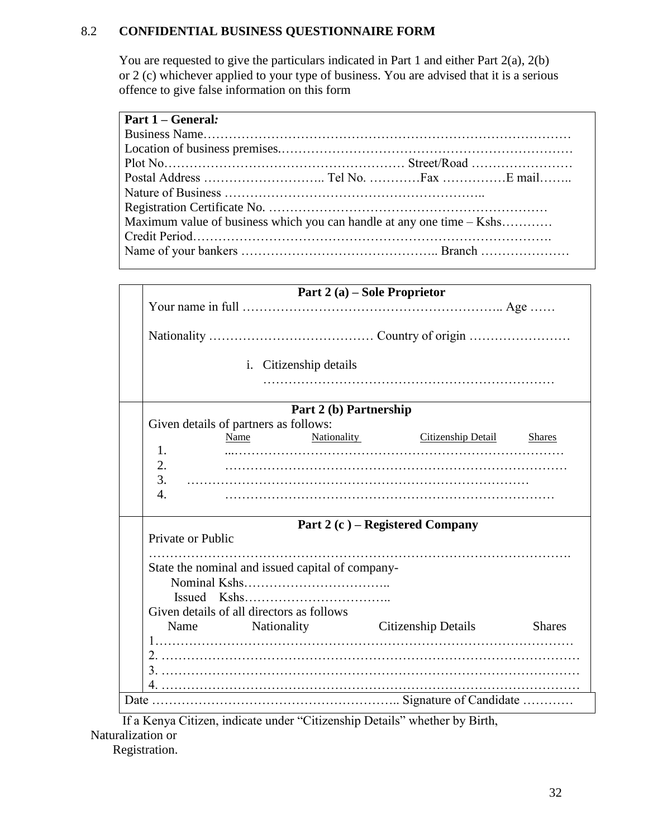# 8.2 **CONFIDENTIAL BUSINESS QUESTIONNAIRE FORM**

You are requested to give the particulars indicated in Part 1 and either Part 2(a), 2(b) or 2 (c) whichever applied to your type of business. You are advised that it is a serious offence to give false information on this form

| <b>Part 1 – General:</b>                                              |  |  |
|-----------------------------------------------------------------------|--|--|
|                                                                       |  |  |
|                                                                       |  |  |
|                                                                       |  |  |
|                                                                       |  |  |
|                                                                       |  |  |
|                                                                       |  |  |
| Maximum value of business which you can handle at any one time – Kshs |  |  |
|                                                                       |  |  |
|                                                                       |  |  |
|                                                                       |  |  |

|                        |                                                  | Part 2 (a) – Sole Proprietor |                                       |               |  |
|------------------------|--------------------------------------------------|------------------------------|---------------------------------------|---------------|--|
|                        |                                                  |                              |                                       |               |  |
|                        |                                                  |                              |                                       |               |  |
|                        | <i>i.</i> Citizenship details                    |                              |                                       |               |  |
| Part 2 (b) Partnership |                                                  |                              |                                       |               |  |
|                        | Given details of partners as follows:            |                              |                                       |               |  |
|                        | Name                                             |                              | Nationality Citizenship Detail Shares |               |  |
| $\mathbf{1}$ .         |                                                  |                              |                                       |               |  |
| 2.                     |                                                  |                              |                                       |               |  |
| 3.                     |                                                  |                              |                                       |               |  |
| 4.                     |                                                  |                              |                                       |               |  |
|                        |                                                  |                              |                                       |               |  |
|                        |                                                  |                              | Part 2 (c) – Registered Company       |               |  |
| Private or Public      |                                                  |                              |                                       |               |  |
|                        |                                                  |                              |                                       |               |  |
|                        | State the nominal and issued capital of company- |                              |                                       |               |  |
|                        |                                                  |                              |                                       |               |  |
|                        |                                                  |                              |                                       |               |  |
|                        | Given details of all directors as follows        |                              |                                       |               |  |
|                        | Name Nationality                                 |                              | <b>Citizenship Details</b>            | <b>Shares</b> |  |
|                        |                                                  |                              |                                       |               |  |
|                        |                                                  |                              |                                       |               |  |
|                        |                                                  |                              |                                       |               |  |
|                        |                                                  |                              |                                       |               |  |
|                        |                                                  |                              |                                       |               |  |
|                        |                                                  |                              |                                       |               |  |

 If a Kenya Citizen, indicate under "Citizenship Details" whether by Birth, Naturalization or

Registration.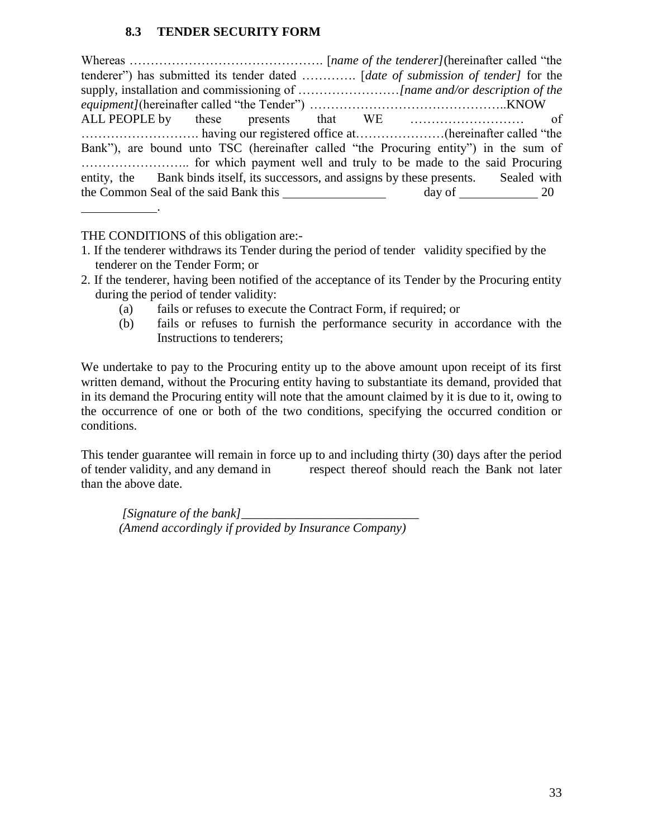### **8.3 TENDER SECURITY FORM**

Whereas ………………………………………. [*name of the tenderer]*(hereinafter called "the tenderer") has submitted its tender dated …………. [*date of submission of tender]* for the supply, installation and commissioning of ……………………*[name and/or description of the equipment]*(hereinafter called "the Tender") ………………………………………..KNOW ALL PEOPLE by these presents that WE ……………………… of ………………………. having our registered office at…………………(hereinafter called "the Bank"), are bound unto TSC (hereinafter called "the Procuring entity") in the sum of …………………….. for which payment well and truly to be made to the said Procuring entity, the Bank binds itself, its successors, and assigns by these presents. Sealed with the Common Seal of the said Bank this day of 20

THE CONDITIONS of this obligation are:-

.

- 1. If the tenderer withdraws its Tender during the period of tender validity specified by the tenderer on the Tender Form; or
- 2. If the tenderer, having been notified of the acceptance of its Tender by the Procuring entity during the period of tender validity:
	- (a) fails or refuses to execute the Contract Form, if required; or
	- (b) fails or refuses to furnish the performance security in accordance with the Instructions to tenderers;

We undertake to pay to the Procuring entity up to the above amount upon receipt of its first written demand, without the Procuring entity having to substantiate its demand, provided that in its demand the Procuring entity will note that the amount claimed by it is due to it, owing to the occurrence of one or both of the two conditions, specifying the occurred condition or conditions.

This tender guarantee will remain in force up to and including thirty (30) days after the period of tender validity, and any demand in respect thereof should reach the Bank not later than the above date.

*[Signature of the bank] (Amend accordingly if provided by Insurance Company)*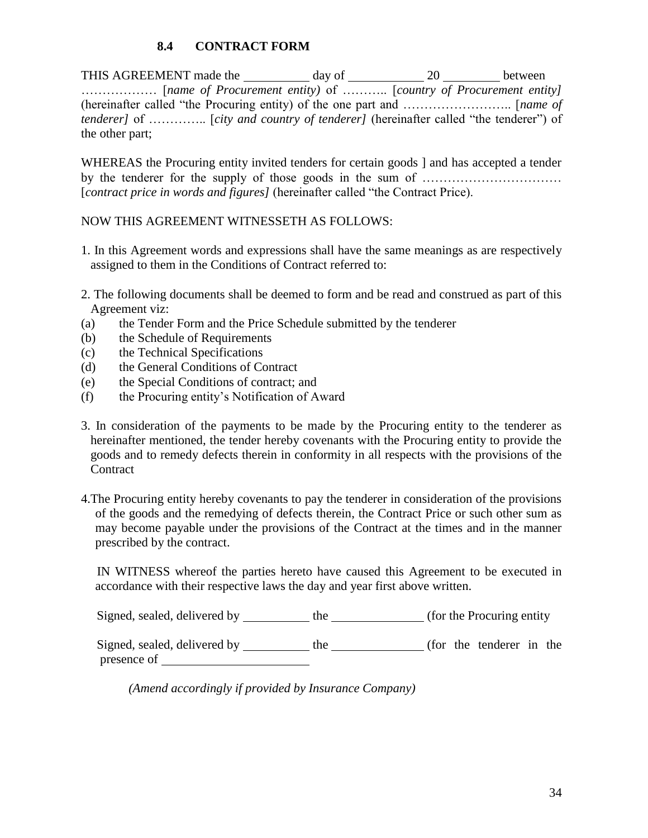## **8.4 CONTRACT FORM**

THIS AGREEMENT made the day of 20 between ……………… [*name of Procurement entity)* of ……….. [*country of Procurement entity]* (hereinafter called "the Procuring entity) of the one part and …………………….. [*name of tenderer]* of …………... [*city and country of tenderer]* (hereinafter called "the tenderer") of the other part;

WHEREAS the Procuring entity invited tenders for certain goods ] and has accepted a tender by the tenderer for the supply of those goods in the sum of …………………………… [*contract price in words and figures]* (hereinafter called "the Contract Price).

#### NOW THIS AGREEMENT WITNESSETH AS FOLLOWS:

- 1. In this Agreement words and expressions shall have the same meanings as are respectively assigned to them in the Conditions of Contract referred to:
- 2. The following documents shall be deemed to form and be read and construed as part of this Agreement viz:
- (a) the Tender Form and the Price Schedule submitted by the tenderer
- (b) the Schedule of Requirements
- (c) the Technical Specifications
- (d) the General Conditions of Contract
- (e) the Special Conditions of contract; and
- (f) the Procuring entity's Notification of Award
- 3. In consideration of the payments to be made by the Procuring entity to the tenderer as hereinafter mentioned, the tender hereby covenants with the Procuring entity to provide the goods and to remedy defects therein in conformity in all respects with the provisions of the **Contract**
- 4.The Procuring entity hereby covenants to pay the tenderer in consideration of the provisions of the goods and the remedying of defects therein, the Contract Price or such other sum as may become payable under the provisions of the Contract at the times and in the manner prescribed by the contract.

 IN WITNESS whereof the parties hereto have caused this Agreement to be executed in accordance with their respective laws the day and year first above written.

Signed, sealed, delivered by the (for the Procuring entity)

Signed, sealed, delivered by \_\_\_\_\_\_\_\_\_\_ the \_\_\_\_\_\_\_\_\_\_\_\_ (for the tenderer in the presence of

 *(Amend accordingly if provided by Insurance Company)*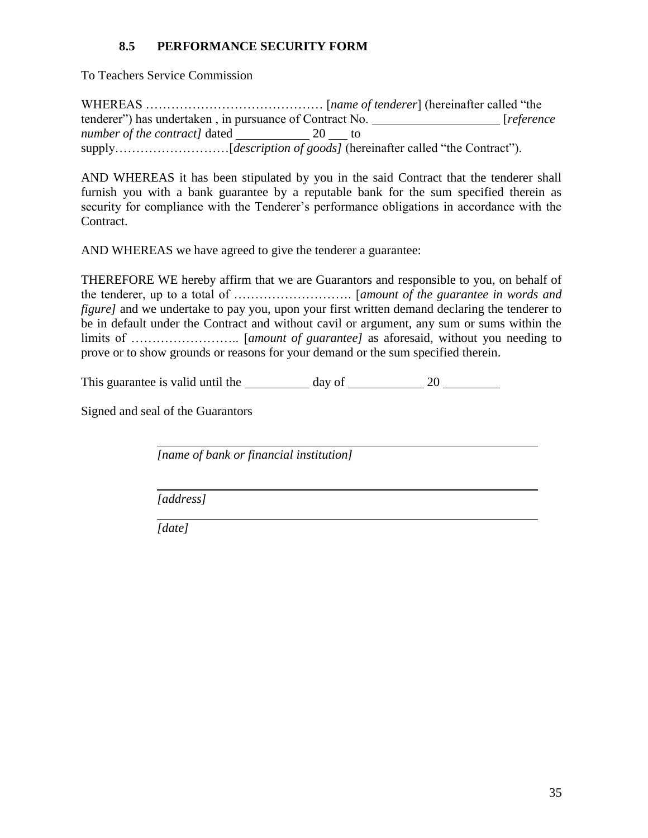## **8.5 PERFORMANCE SECURITY FORM**

To Teachers Service Commission

WHEREAS …………………………………… [*name of tenderer*] (hereinafter called "the tenderer") has undertaken , in pursuance of Contract No. [*reference number of the contract]* dated 20 to supply………………………[*description of goods]* (hereinafter called "the Contract").

AND WHEREAS it has been stipulated by you in the said Contract that the tenderer shall furnish you with a bank guarantee by a reputable bank for the sum specified therein as security for compliance with the Tenderer's performance obligations in accordance with the Contract.

AND WHEREAS we have agreed to give the tenderer a guarantee:

THEREFORE WE hereby affirm that we are Guarantors and responsible to you, on behalf of the tenderer, up to a total of ………………………. [*amount of the guarantee in words and figure]* and we undertake to pay you, upon your first written demand declaring the tenderer to be in default under the Contract and without cavil or argument, any sum or sums within the limits of …………………….. [*amount of guarantee]* as aforesaid, without you needing to prove or to show grounds or reasons for your demand or the sum specified therein.

This guarantee is valid until the  $\frac{1}{20}$  day of  $\frac{20}{20}$ 

Signed and seal of the Guarantors

*[name of bank or financial institution]*

*[address]*

*[date]*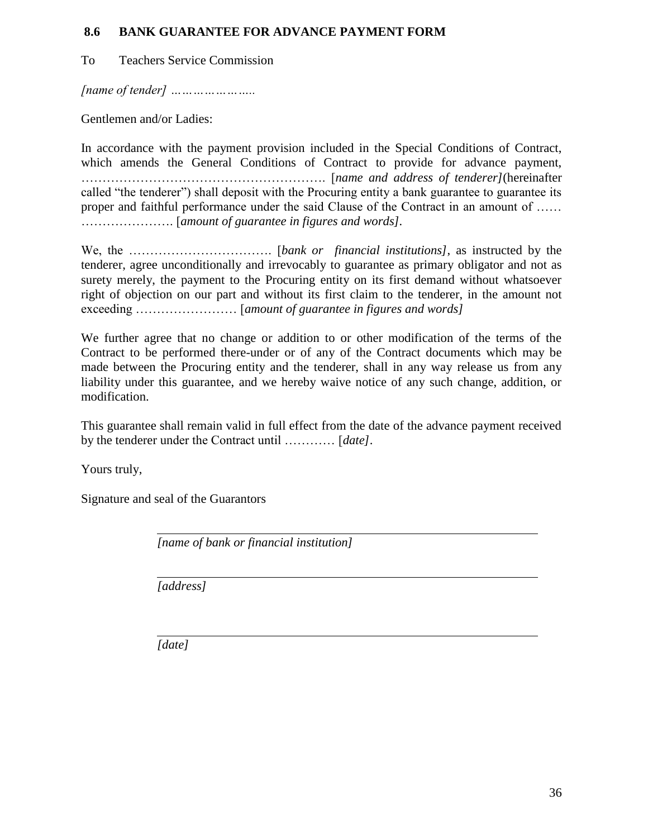#### **8.6 BANK GUARANTEE FOR ADVANCE PAYMENT FORM**

To Teachers Service Commission

*[name of tender] …………………..*

Gentlemen and/or Ladies:

In accordance with the payment provision included in the Special Conditions of Contract, which amends the General Conditions of Contract to provide for advance payment, …………………………………………………. [*name and address of tenderer]*(hereinafter called "the tenderer") shall deposit with the Procuring entity a bank guarantee to guarantee its proper and faithful performance under the said Clause of the Contract in an amount of …… …………………. [*amount of guarantee in figures and words].*

We, the ……………………………. [*bank or financial institutions]*, as instructed by the tenderer, agree unconditionally and irrevocably to guarantee as primary obligator and not as surety merely, the payment to the Procuring entity on its first demand without whatsoever right of objection on our part and without its first claim to the tenderer, in the amount not exceeding …………………… [*amount of guarantee in figures and words]*

We further agree that no change or addition to or other modification of the terms of the Contract to be performed there-under or of any of the Contract documents which may be made between the Procuring entity and the tenderer, shall in any way release us from any liability under this guarantee, and we hereby waive notice of any such change, addition, or modification.

This guarantee shall remain valid in full effect from the date of the advance payment received by the tenderer under the Contract until ………… [*date]*.

Yours truly,

Signature and seal of the Guarantors

*[name of bank or financial institution]*

*[address]*

*[date]*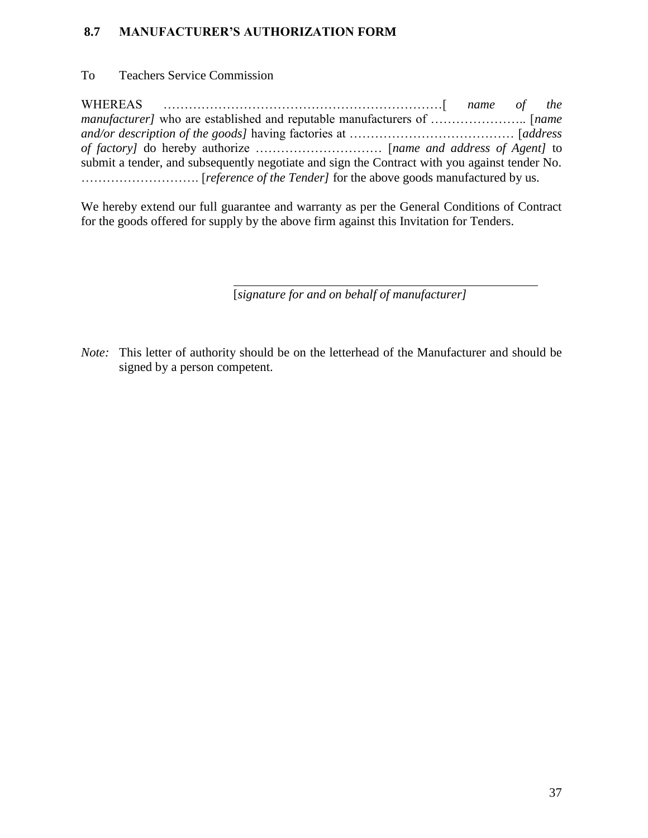### **8.7 MANUFACTURER'S AUTHORIZATION FORM**

To Teachers Service Commission

WHEREAS …………………………………………………………[ *name of the manufacturer]* who are established and reputable manufacturers of ………………….. [*name and/or description of the goods]* having factories at ………………………………… [*address of factory]* do hereby authorize ………………………… [*name and address of Agent]* to submit a tender, and subsequently negotiate and sign the Contract with you against tender No. ………………………. [*reference of the Tender]* for the above goods manufactured by us.

We hereby extend our full guarantee and warranty as per the General Conditions of Contract for the goods offered for supply by the above firm against this Invitation for Tenders.

[*signature for and on behalf of manufacturer]*

*Note:* This letter of authority should be on the letterhead of the Manufacturer and should be signed by a person competent.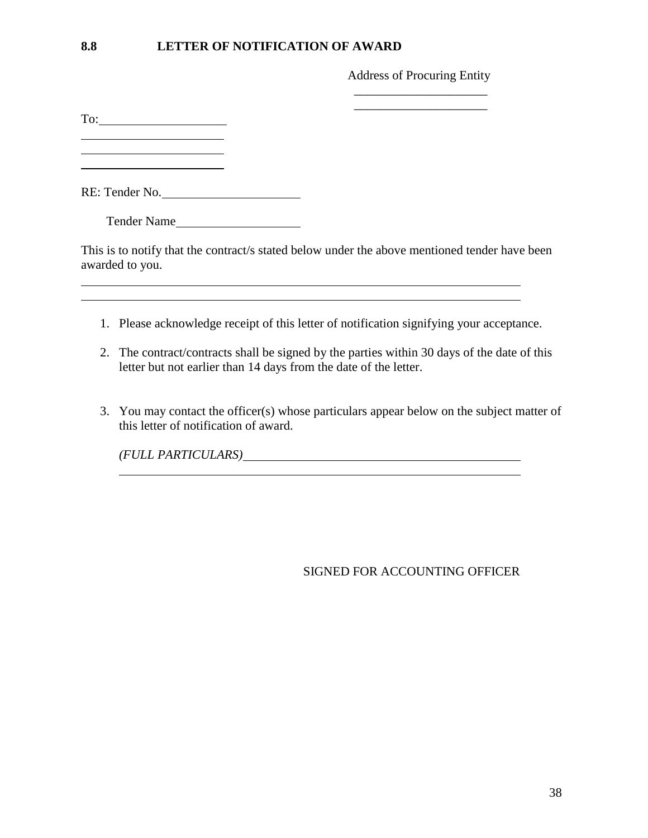#### **8.8 LETTER OF NOTIFICATION OF AWARD**

Address of Procuring Entity \_\_\_\_\_\_\_\_\_\_\_\_\_\_\_\_\_\_\_\_\_

To:

l

RE: Tender No.

Tender Name

This is to notify that the contract/s stated below under the above mentioned tender have been awarded to you.

- 1. Please acknowledge receipt of this letter of notification signifying your acceptance.
- 2. The contract/contracts shall be signed by the parties within 30 days of the date of this letter but not earlier than 14 days from the date of the letter.
- 3. You may contact the officer(s) whose particulars appear below on the subject matter of this letter of notification of award.

*(FULL PARTICULARS)*

SIGNED FOR ACCOUNTING OFFICER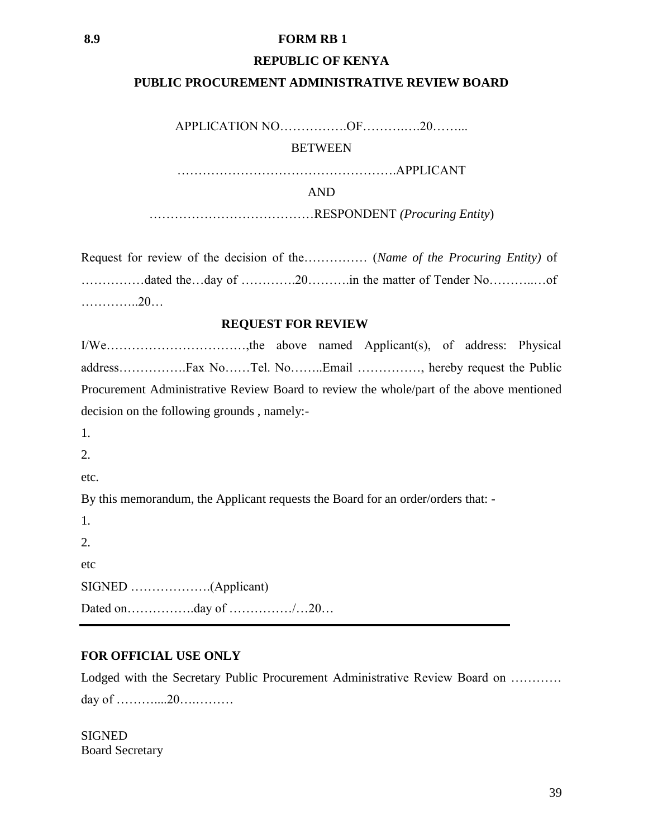#### **8.9 FORM RB 1**

#### **REPUBLIC OF KENYA**

#### **PUBLIC PROCUREMENT ADMINISTRATIVE REVIEW BOARD**

APPLICATION NO…………….OF……….….20……...

**BETWEEN** 

…………………………………………….APPLICANT

AND

…………………………………RESPONDENT *(Procuring Entity*)

Request for review of the decision of the…………… (*Name of the Procuring Entity)* of ……………dated the…day of ………….20……….in the matter of Tender No………..…of …………..20…

#### **REQUEST FOR REVIEW**

I/We……………………………,the above named Applicant(s), of address: Physical address…………….Fax No……Tel. No……..Email ……………, hereby request the Public Procurement Administrative Review Board to review the whole/part of the above mentioned decision on the following grounds , namely:- 1. 2. etc.

By this memorandum, the Applicant requests the Board for an order/orders that: -

1. 2. etc SIGNED ……………….(Applicant) Dated on…………….day of ……………/…20…

#### **FOR OFFICIAL USE ONLY**

Lodged with the Secretary Public Procurement Administrative Review Board on ………… day of ………....20….………

**SIGNED** Board Secretary